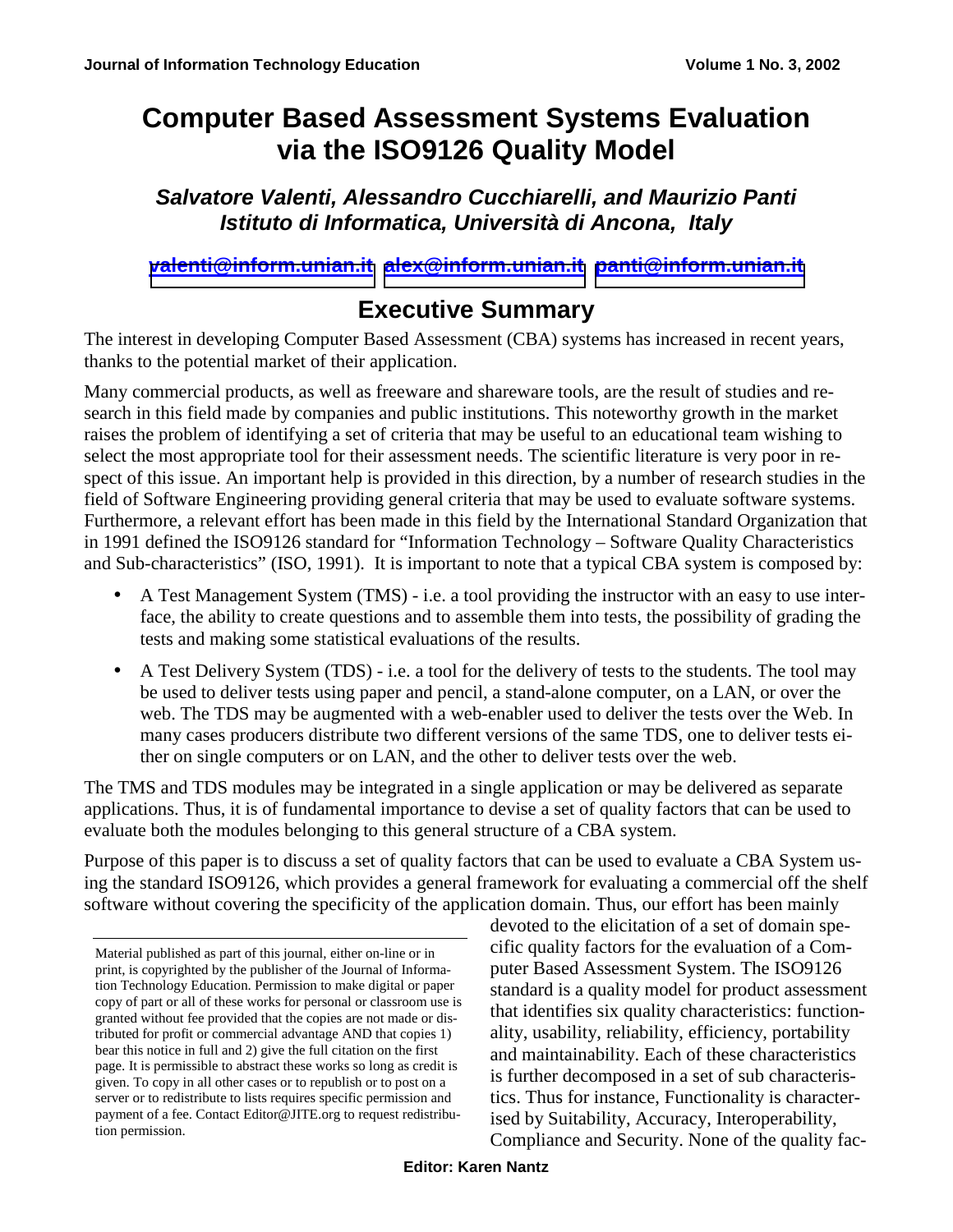# **Computer Based Assessment Systems Evaluation via the ISO9126 Quality Model**

*Salvatore Valenti, Alessandro Cucchiarelli, and Maurizio Panti Istituto di Informatica, Università di Ancona, Italy* 

**[valenti@inform.unian.it](mailto:valenti@inform.unian.it) [alex@inform.unian.it](mailto:alex@inform.unian.it) [panti@inform.unian.it](mailto:panti@inform.unian.it)** 

## **Executive Summary**

The interest in developing Computer Based Assessment (CBA) systems has increased in recent years, thanks to the potential market of their application.

Many commercial products, as well as freeware and shareware tools, are the result of studies and research in this field made by companies and public institutions. This noteworthy growth in the market raises the problem of identifying a set of criteria that may be useful to an educational team wishing to select the most appropriate tool for their assessment needs. The scientific literature is very poor in respect of this issue. An important help is provided in this direction, by a number of research studies in the field of Software Engineering providing general criteria that may be used to evaluate software systems. Furthermore, a relevant effort has been made in this field by the International Standard Organization that in 1991 defined the ISO9126 standard for "Information Technology – Software Quality Characteristics and Sub-characteristics" (ISO, 1991). It is important to note that a typical CBA system is composed by:

- A Test Management System (TMS) i.e. a tool providing the instructor with an easy to use interface, the ability to create questions and to assemble them into tests, the possibility of grading the tests and making some statistical evaluations of the results.
- A Test Delivery System (TDS) i.e. a tool for the delivery of tests to the students. The tool may be used to deliver tests using paper and pencil, a stand-alone computer, on a LAN, or over the web. The TDS may be augmented with a web-enabler used to deliver the tests over the Web. In many cases producers distribute two different versions of the same TDS, one to deliver tests either on single computers or on LAN, and the other to deliver tests over the web.

The TMS and TDS modules may be integrated in a single application or may be delivered as separate applications. Thus, it is of fundamental importance to devise a set of quality factors that can be used to evaluate both the modules belonging to this general structure of a CBA system.

Purpose of this paper is to discuss a set of quality factors that can be used to evaluate a CBA System using the standard ISO9126, which provides a general framework for evaluating a commercial off the shelf software without covering the specificity of the application domain. Thus, our effort has been mainly

devoted to the elicitation of a set of domain specific quality factors for the evaluation of a Computer Based Assessment System. The ISO9126 standard is a quality model for product assessment that identifies six quality characteristics: functionality, usability, reliability, efficiency, portability and maintainability. Each of these characteristics is further decomposed in a set of sub characteristics. Thus for instance, Functionality is characterised by Suitability, Accuracy, Interoperability, Compliance and Security. None of the quality fac-

Material published as part of this journal, either on-line or in print, is copyrighted by the publisher of the Journal of Information Technology Education. Permission to make digital or paper copy of part or all of these works for personal or classroom use is granted without fee provided that the copies are not made or distributed for profit or commercial advantage AND that copies 1) bear this notice in full and 2) give the full citation on the first page. It is permissible to abstract these works so long as credit is given. To copy in all other cases or to republish or to post on a server or to redistribute to lists requires specific permission and payment of a fee. Contact Editor@JITE.org to request redistribution permission.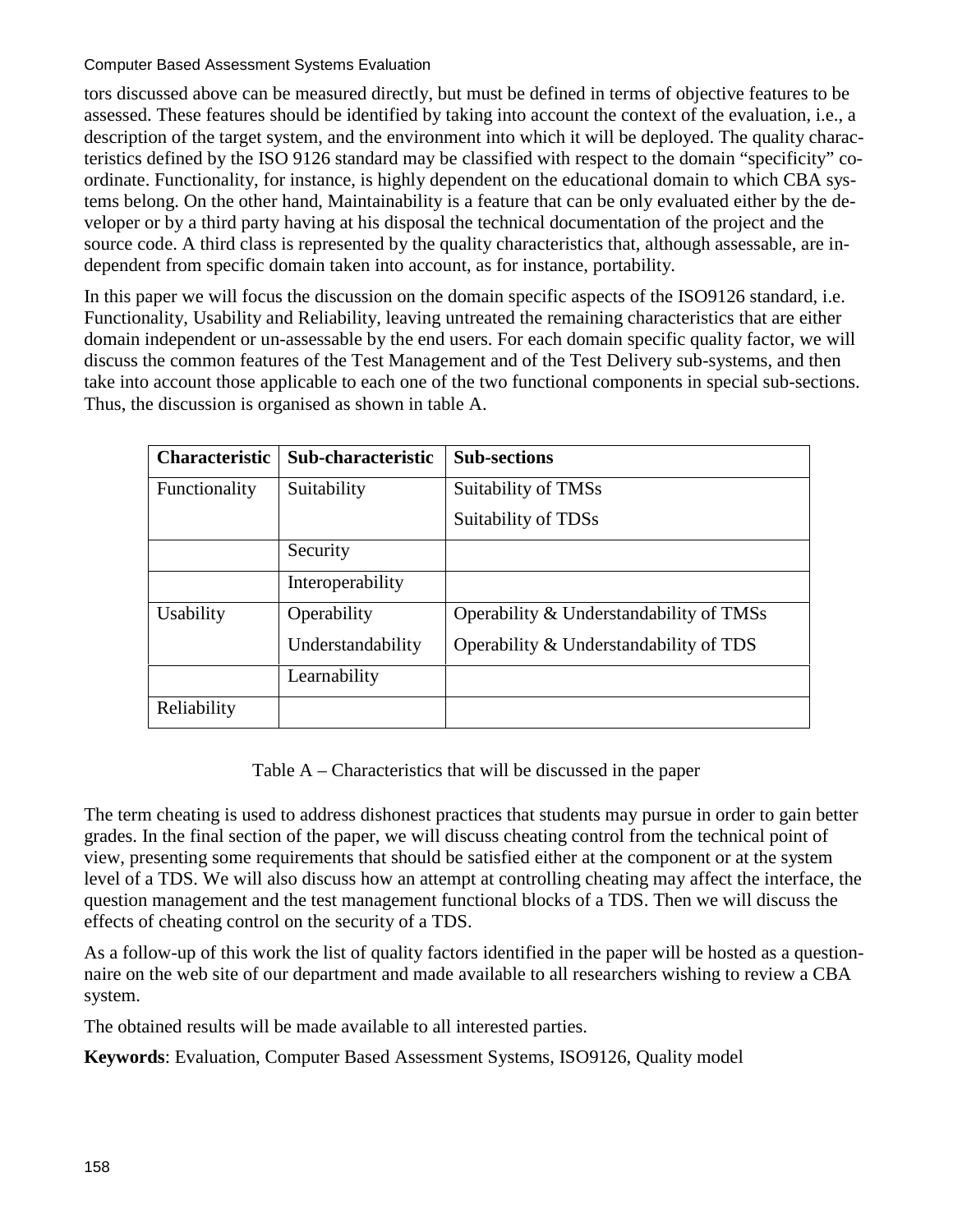tors discussed above can be measured directly, but must be defined in terms of objective features to be assessed. These features should be identified by taking into account the context of the evaluation, i.e., a description of the target system, and the environment into which it will be deployed. The quality characteristics defined by the ISO 9126 standard may be classified with respect to the domain "specificity" coordinate. Functionality, for instance, is highly dependent on the educational domain to which CBA systems belong. On the other hand, Maintainability is a feature that can be only evaluated either by the developer or by a third party having at his disposal the technical documentation of the project and the source code. A third class is represented by the quality characteristics that, although assessable, are independent from specific domain taken into account, as for instance, portability.

In this paper we will focus the discussion on the domain specific aspects of the ISO9126 standard, i.e. Functionality, Usability and Reliability, leaving untreated the remaining characteristics that are either domain independent or un-assessable by the end users. For each domain specific quality factor, we will discuss the common features of the Test Management and of the Test Delivery sub-systems, and then take into account those applicable to each one of the two functional components in special sub-sections. Thus, the discussion is organised as shown in table A.

| <b>Characteristic</b> | Sub-characteristic | <b>Sub-sections</b>                     |
|-----------------------|--------------------|-----------------------------------------|
| Functionality         | Suitability        | Suitability of TMSs                     |
|                       |                    | Suitability of TDSs                     |
|                       | Security           |                                         |
|                       | Interoperability   |                                         |
| Usability             | Operability        | Operability & Understandability of TMSs |
|                       | Understandability  | Operability & Understandability of TDS  |
|                       | Learnability       |                                         |
| Reliability           |                    |                                         |

Table A – Characteristics that will be discussed in the paper

The term cheating is used to address dishonest practices that students may pursue in order to gain better grades. In the final section of the paper, we will discuss cheating control from the technical point of view, presenting some requirements that should be satisfied either at the component or at the system level of a TDS. We will also discuss how an attempt at controlling cheating may affect the interface, the question management and the test management functional blocks of a TDS. Then we will discuss the effects of cheating control on the security of a TDS.

As a follow-up of this work the list of quality factors identified in the paper will be hosted as a questionnaire on the web site of our department and made available to all researchers wishing to review a CBA system.

The obtained results will be made available to all interested parties.

**Keywords**: Evaluation, Computer Based Assessment Systems, ISO9126, Quality model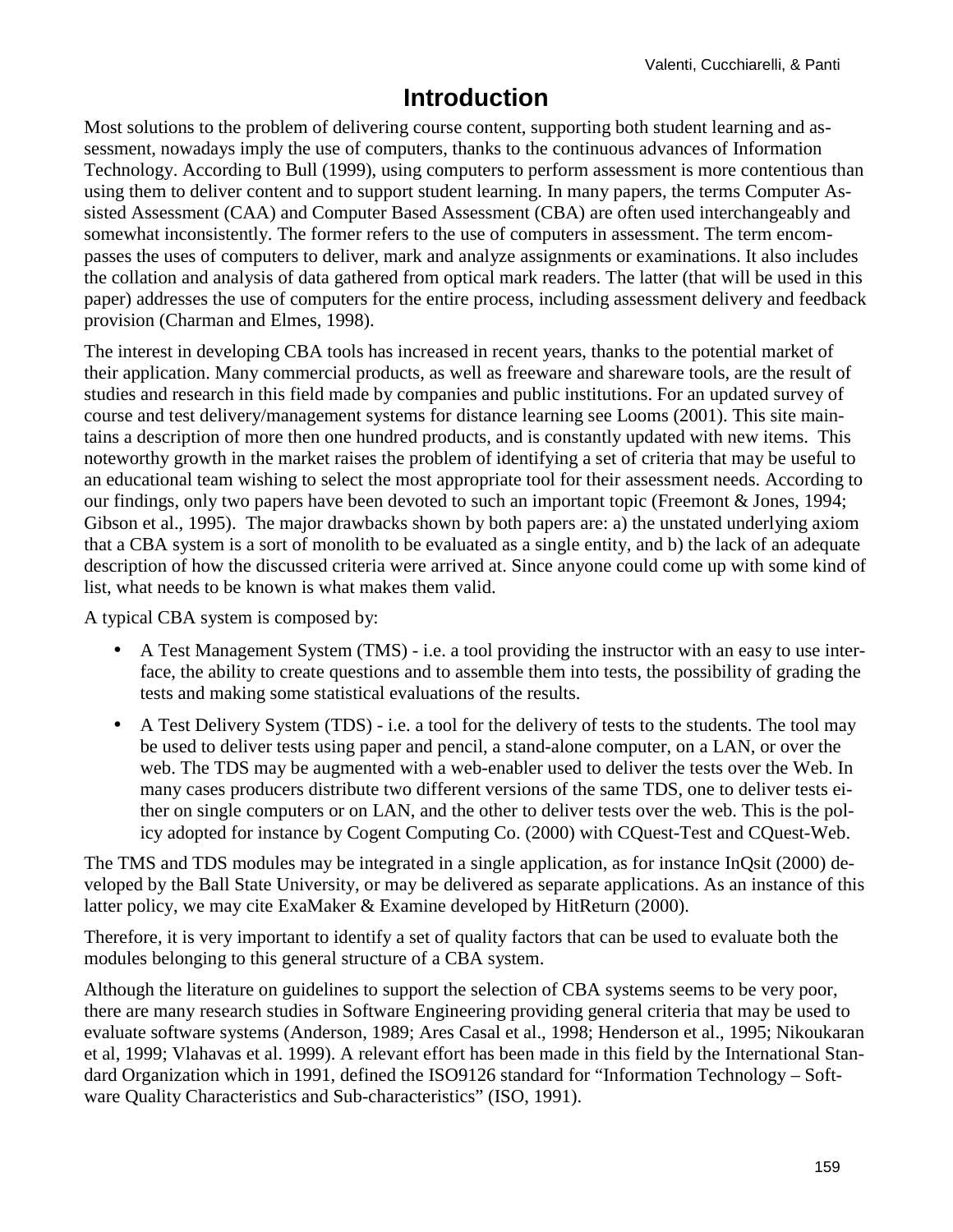## **Introduction**

Most solutions to the problem of delivering course content, supporting both student learning and assessment, nowadays imply the use of computers, thanks to the continuous advances of Information Technology. According to Bull (1999), using computers to perform assessment is more contentious than using them to deliver content and to support student learning. In many papers, the terms Computer Assisted Assessment (CAA) and Computer Based Assessment (CBA) are often used interchangeably and somewhat inconsistently. The former refers to the use of computers in assessment. The term encompasses the uses of computers to deliver, mark and analyze assignments or examinations. It also includes the collation and analysis of data gathered from optical mark readers. The latter (that will be used in this paper) addresses the use of computers for the entire process, including assessment delivery and feedback provision (Charman and Elmes, 1998).

The interest in developing CBA tools has increased in recent years, thanks to the potential market of their application. Many commercial products, as well as freeware and shareware tools, are the result of studies and research in this field made by companies and public institutions. For an updated survey of course and test delivery/management systems for distance learning see Looms (2001). This site maintains a description of more then one hundred products, and is constantly updated with new items. This noteworthy growth in the market raises the problem of identifying a set of criteria that may be useful to an educational team wishing to select the most appropriate tool for their assessment needs. According to our findings, only two papers have been devoted to such an important topic (Freemont & Jones, 1994; Gibson et al., 1995). The major drawbacks shown by both papers are: a) the unstated underlying axiom that a CBA system is a sort of monolith to be evaluated as a single entity, and b) the lack of an adequate description of how the discussed criteria were arrived at. Since anyone could come up with some kind of list, what needs to be known is what makes them valid.

A typical CBA system is composed by:

- A Test Management System (TMS) i.e. a tool providing the instructor with an easy to use interface, the ability to create questions and to assemble them into tests, the possibility of grading the tests and making some statistical evaluations of the results.
- A Test Delivery System (TDS) i.e. a tool for the delivery of tests to the students. The tool may be used to deliver tests using paper and pencil, a stand-alone computer, on a LAN, or over the web. The TDS may be augmented with a web-enabler used to deliver the tests over the Web. In many cases producers distribute two different versions of the same TDS, one to deliver tests either on single computers or on LAN, and the other to deliver tests over the web. This is the policy adopted for instance by Cogent Computing Co. (2000) with CQuest-Test and CQuest-Web.

The TMS and TDS modules may be integrated in a single application, as for instance InQsit (2000) developed by the Ball State University, or may be delivered as separate applications. As an instance of this latter policy, we may cite ExaMaker & Examine developed by HitReturn (2000).

Therefore, it is very important to identify a set of quality factors that can be used to evaluate both the modules belonging to this general structure of a CBA system.

Although the literature on guidelines to support the selection of CBA systems seems to be very poor, there are many research studies in Software Engineering providing general criteria that may be used to evaluate software systems (Anderson, 1989; Ares Casal et al., 1998; Henderson et al., 1995; Nikoukaran et al, 1999; Vlahavas et al. 1999). A relevant effort has been made in this field by the International Standard Organization which in 1991, defined the ISO9126 standard for "Information Technology – Software Quality Characteristics and Sub-characteristics" (ISO, 1991).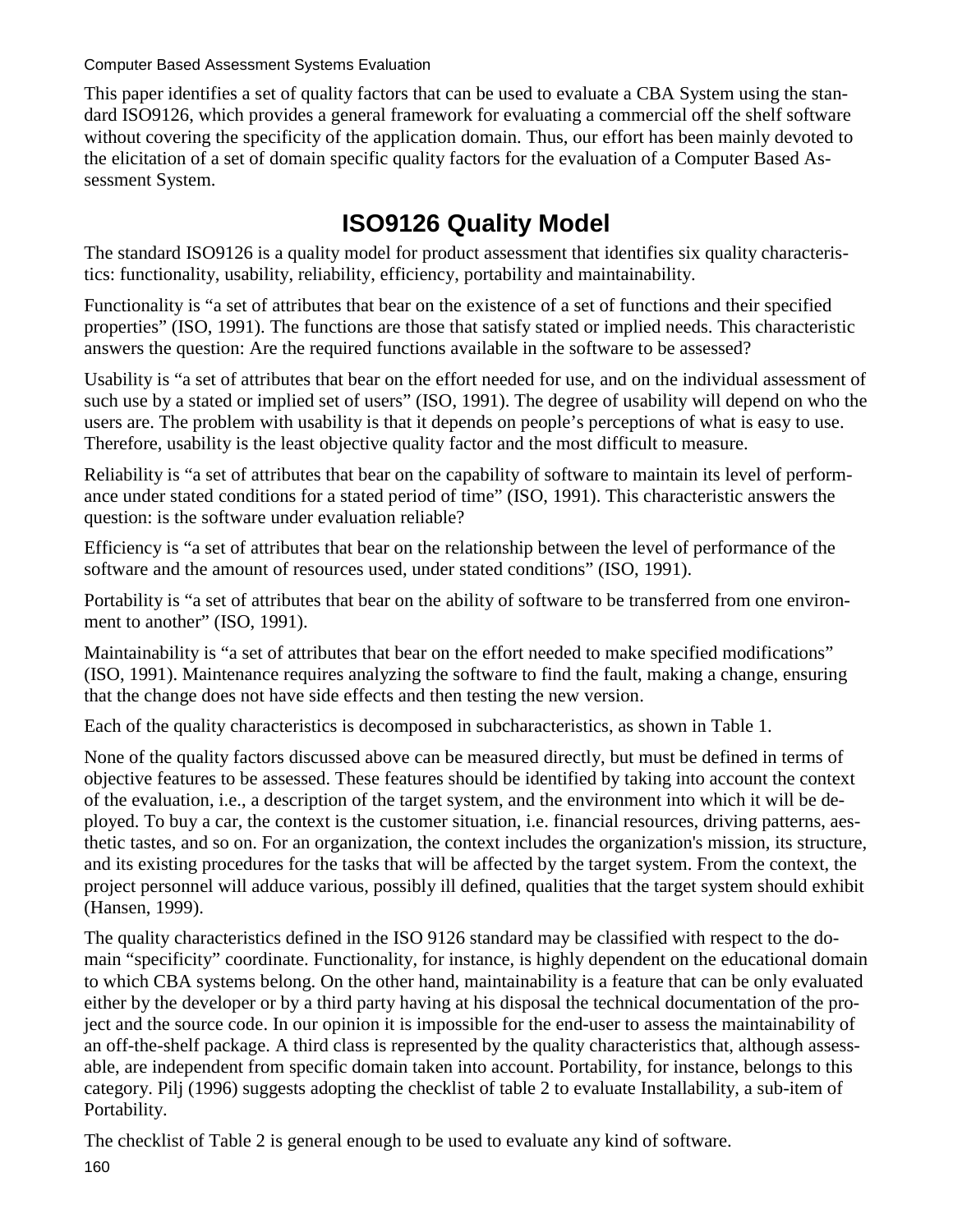This paper identifies a set of quality factors that can be used to evaluate a CBA System using the standard ISO9126, which provides a general framework for evaluating a commercial off the shelf software without covering the specificity of the application domain. Thus, our effort has been mainly devoted to the elicitation of a set of domain specific quality factors for the evaluation of a Computer Based Assessment System.

# **ISO9126 Quality Model**

The standard ISO9126 is a quality model for product assessment that identifies six quality characteristics: functionality, usability, reliability, efficiency, portability and maintainability.

Functionality is "a set of attributes that bear on the existence of a set of functions and their specified properties" (ISO, 1991). The functions are those that satisfy stated or implied needs. This characteristic answers the question: Are the required functions available in the software to be assessed?

Usability is "a set of attributes that bear on the effort needed for use, and on the individual assessment of such use by a stated or implied set of users" (ISO, 1991). The degree of usability will depend on who the users are. The problem with usability is that it depends on people's perceptions of what is easy to use. Therefore, usability is the least objective quality factor and the most difficult to measure.

Reliability is "a set of attributes that bear on the capability of software to maintain its level of performance under stated conditions for a stated period of time" (ISO, 1991). This characteristic answers the question: is the software under evaluation reliable?

Efficiency is "a set of attributes that bear on the relationship between the level of performance of the software and the amount of resources used, under stated conditions" (ISO, 1991).

Portability is "a set of attributes that bear on the ability of software to be transferred from one environment to another" (ISO, 1991).

Maintainability is "a set of attributes that bear on the effort needed to make specified modifications" (ISO, 1991). Maintenance requires analyzing the software to find the fault, making a change, ensuring that the change does not have side effects and then testing the new version.

Each of the quality characteristics is decomposed in subcharacteristics, as shown in Table 1.

None of the quality factors discussed above can be measured directly, but must be defined in terms of objective features to be assessed. These features should be identified by taking into account the context of the evaluation, i.e., a description of the target system, and the environment into which it will be deployed. To buy a car, the context is the customer situation, i.e. financial resources, driving patterns, aesthetic tastes, and so on. For an organization, the context includes the organization's mission, its structure, and its existing procedures for the tasks that will be affected by the target system. From the context, the project personnel will adduce various, possibly ill defined, qualities that the target system should exhibit (Hansen, 1999).

The quality characteristics defined in the ISO 9126 standard may be classified with respect to the domain "specificity" coordinate. Functionality, for instance, is highly dependent on the educational domain to which CBA systems belong. On the other hand, maintainability is a feature that can be only evaluated either by the developer or by a third party having at his disposal the technical documentation of the project and the source code. In our opinion it is impossible for the end-user to assess the maintainability of an off-the-shelf package. A third class is represented by the quality characteristics that, although assessable, are independent from specific domain taken into account. Portability, for instance, belongs to this category. Pilj (1996) suggests adopting the checklist of table 2 to evaluate Installability, a sub-item of Portability.

The checklist of Table 2 is general enough to be used to evaluate any kind of software.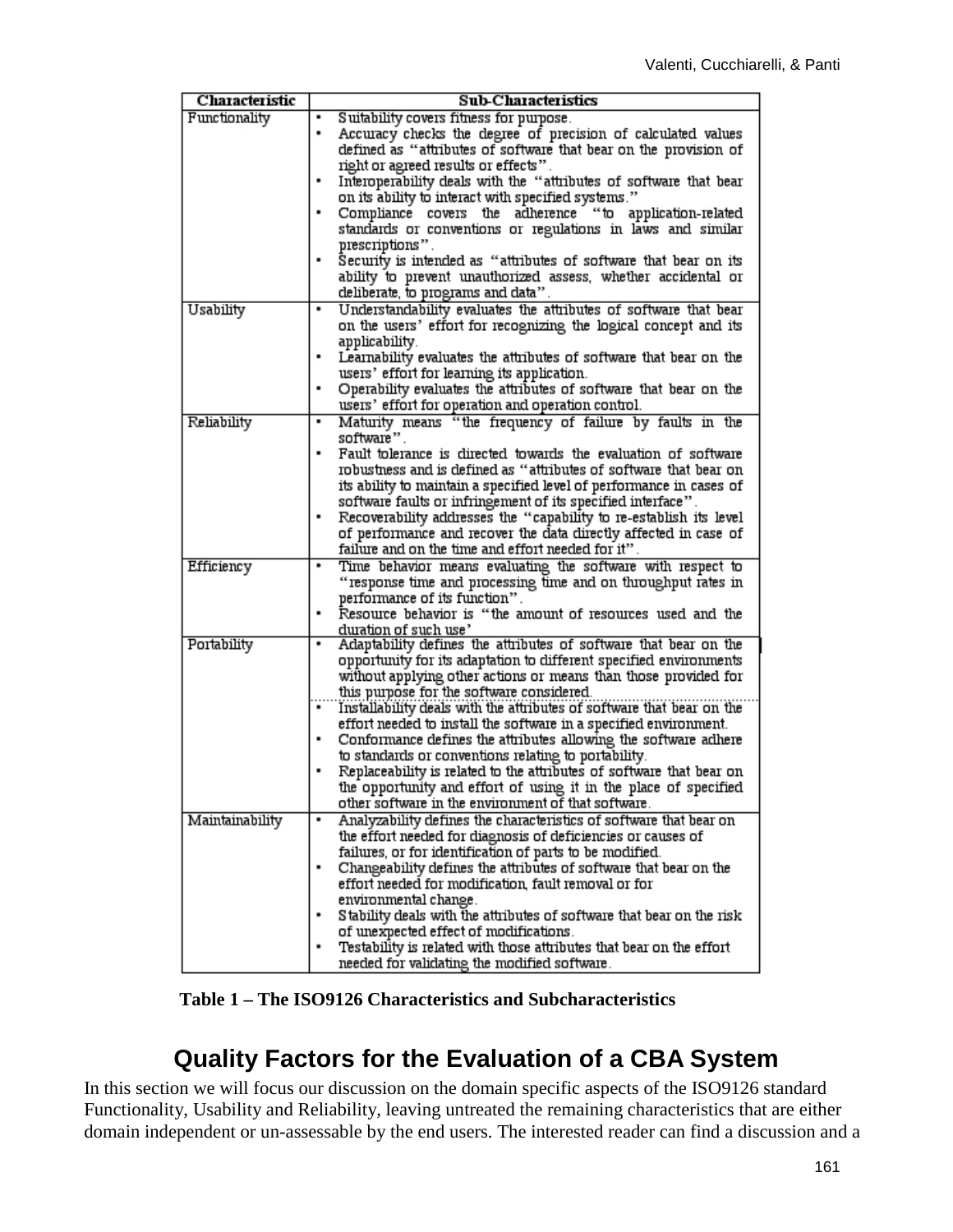| Characteristic  | <b>Sub-Characteristics</b>                                                                     |  |
|-----------------|------------------------------------------------------------------------------------------------|--|
| Functionality   | Suitability covers fitness for purpose.                                                        |  |
|                 | Accuracy checks the degree of precision of calculated values<br>٠                              |  |
|                 | defined as "attributes of software that bear on the provision of                               |  |
|                 | right or agreed results or effects".                                                           |  |
|                 | Interoperability deals with the "attributes of software that bear                              |  |
|                 | on its ability to interact with specified systems."                                            |  |
|                 | Compliance covers the adherence "to application-related                                        |  |
|                 | standards or conventions or regulations in laws and similar                                    |  |
|                 | prescriptions".                                                                                |  |
|                 | Security is intended as "attributes of software that bear on its                               |  |
|                 | ability to prevent unauthorized assess, whether accidental or                                  |  |
|                 | deliberate, to programs and data".                                                             |  |
| Usability       | Understandability evaluates the attributes of software that bear                               |  |
|                 | on the users' effort for recognizing the logical concept and its                               |  |
|                 | applicability.                                                                                 |  |
|                 | Learnability evaluates the attributes of software that bear on the<br>٠                        |  |
|                 | users' effort for learning its application.                                                    |  |
|                 | Operability evaluates the attributes of software that bear on the                              |  |
|                 | users' effort for operation and operation control.                                             |  |
| Reliability     | Maturity means "the frequency of failure by faults in the<br>٠                                 |  |
|                 | software".                                                                                     |  |
|                 | Fault tolerance is directed towards the evaluation of software                                 |  |
|                 | robustness and is defined as "attributes of software that bear on                              |  |
|                 | its ability to maintain a specified level of performance in cases of                           |  |
|                 | software faults or infringement of its specified interface".                                   |  |
|                 | Recoverability addresses the "capability to re-establish its level                             |  |
|                 | of performance and recover the data directly affected in case of                               |  |
|                 | failure and on the time and effort needed for it".                                             |  |
| Efficiency      | Time behavior means evaluating the software with respect to                                    |  |
|                 | "response time and processing time and on throughput rates in<br>performance of its function". |  |
|                 | Resource behavior is "the amount of resources used and the                                     |  |
|                 | duration of such use'                                                                          |  |
| Portability     | Adaptability defines the attributes of software that bear on the                               |  |
|                 | opportunity for its adaptation to different specified environments                             |  |
|                 | without applying other actions or means than those provided for                                |  |
|                 | this purpose for the software considered.                                                      |  |
|                 | Installability deals with the attributes of software that bear on the                          |  |
|                 | effort needed to install the software in a specified environment.                              |  |
|                 | Conformance defines the attributes allowing the software adhere                                |  |
|                 | to standards or conventions relating to portability.                                           |  |
|                 | Replaceability is related to the attributes of software that bear on                           |  |
|                 | the opportunity and effort of using it in the place of specified                               |  |
|                 | other software in the environment of that software.                                            |  |
| Maintainability | Analyzability defines the characteristics of software that bear on                             |  |
|                 | the effort needed for diagnosis of deficiencies or causes of                                   |  |
|                 | failures, or for identification of parts to be modified.                                       |  |
|                 | Changeability defines the attributes of software that bear on the                              |  |
|                 | effort needed for modification, fault removal or for                                           |  |
|                 | environmental change.                                                                          |  |
|                 | Stability deals with the attributes of software that bear on the risk                          |  |
|                 | of unexpected effect of modifications.                                                         |  |
|                 | Testability is related with those attributes that bear on the effort                           |  |
|                 | needed for validating the modified software.                                                   |  |

**Table 1 – The ISO9126 Characteristics and Subcharacteristics** 

## **Quality Factors for the Evaluation of a CBA System**

In this section we will focus our discussion on the domain specific aspects of the ISO9126 standard Functionality, Usability and Reliability, leaving untreated the remaining characteristics that are either domain independent or un-assessable by the end users. The interested reader can find a discussion and a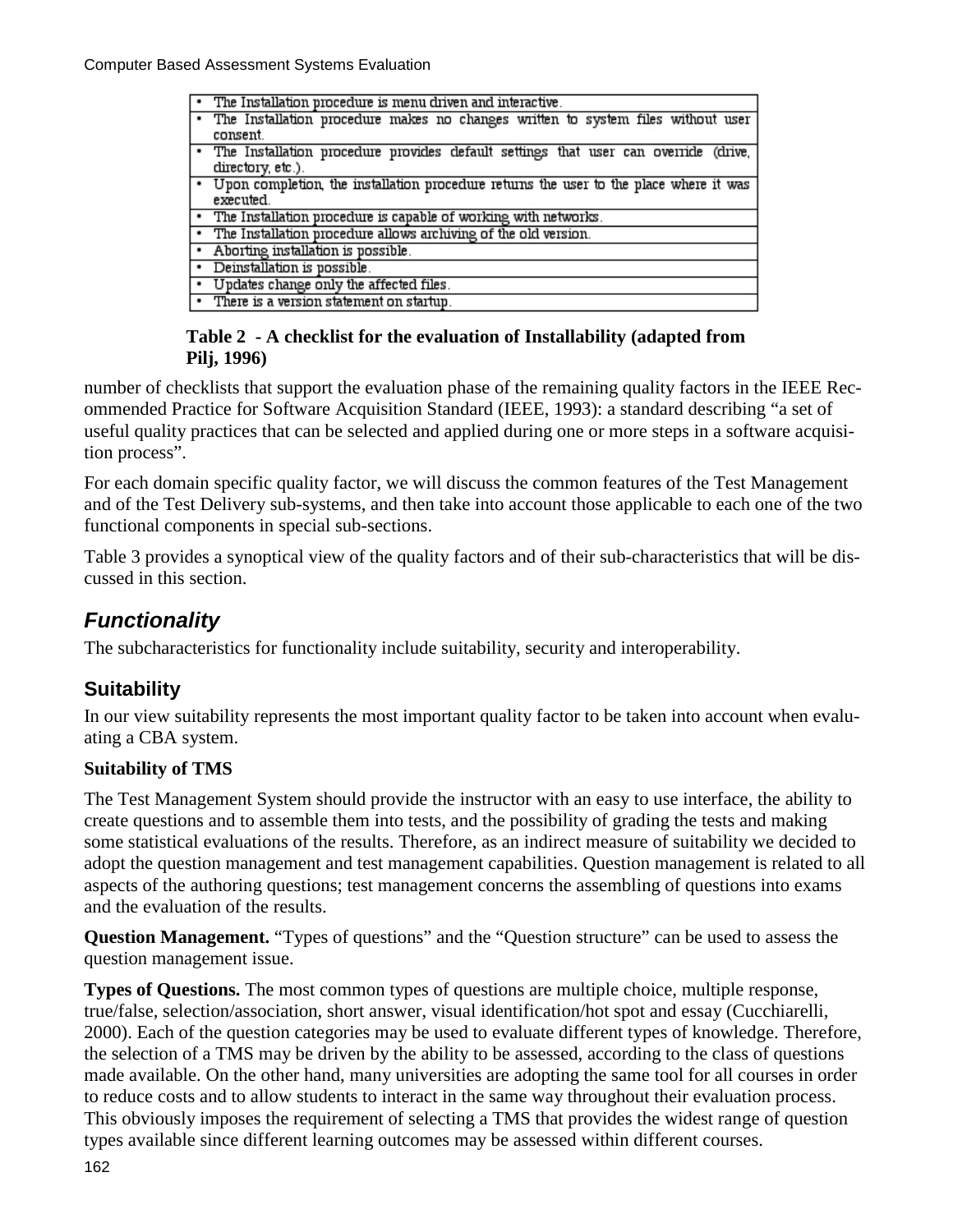| • The Installation procedure is menu driven and interactive.                             |
|------------------------------------------------------------------------------------------|
| • The Installation procedure makes no changes written to system files without user       |
| consent.                                                                                 |
| . The Installation procedure provides default settings that user can override (drive,    |
| directory, etc.).                                                                        |
| . Upon completion, the installation procedure returns the user to the place where it was |
| executed.                                                                                |
| • The Installation procedure is capable of working with networks.                        |
| • The Installation procedure allows archiving of the old version.                        |
| • Aborting installation is possible.                                                     |
| • Deinstallation is possible.                                                            |
| • Updates change only the affected files.                                                |
| • There is a version statement on startup.                                               |
|                                                                                          |

#### **Table 2 - A checklist for the evaluation of Installability (adapted from Pilj, 1996)**

number of checklists that support the evaluation phase of the remaining quality factors in the IEEE Recommended Practice for Software Acquisition Standard (IEEE, 1993): a standard describing "a set of useful quality practices that can be selected and applied during one or more steps in a software acquisition process".

For each domain specific quality factor, we will discuss the common features of the Test Management and of the Test Delivery sub-systems, and then take into account those applicable to each one of the two functional components in special sub-sections.

Table 3 provides a synoptical view of the quality factors and of their sub-characteristics that will be discussed in this section.

## *Functionality*

The subcharacteristics for functionality include suitability, security and interoperability.

### **Suitability**

In our view suitability represents the most important quality factor to be taken into account when evaluating a CBA system.

### **Suitability of TMS**

The Test Management System should provide the instructor with an easy to use interface, the ability to create questions and to assemble them into tests, and the possibility of grading the tests and making some statistical evaluations of the results. Therefore, as an indirect measure of suitability we decided to adopt the question management and test management capabilities. Question management is related to all aspects of the authoring questions; test management concerns the assembling of questions into exams and the evaluation of the results.

**Question Management.** "Types of questions" and the "Question structure" can be used to assess the question management issue.

**Types of Questions.** The most common types of questions are multiple choice, multiple response, true/false, selection/association, short answer, visual identification/hot spot and essay (Cucchiarelli, 2000). Each of the question categories may be used to evaluate different types of knowledge. Therefore, the selection of a TMS may be driven by the ability to be assessed, according to the class of questions made available. On the other hand, many universities are adopting the same tool for all courses in order to reduce costs and to allow students to interact in the same way throughout their evaluation process. This obviously imposes the requirement of selecting a TMS that provides the widest range of question types available since different learning outcomes may be assessed within different courses.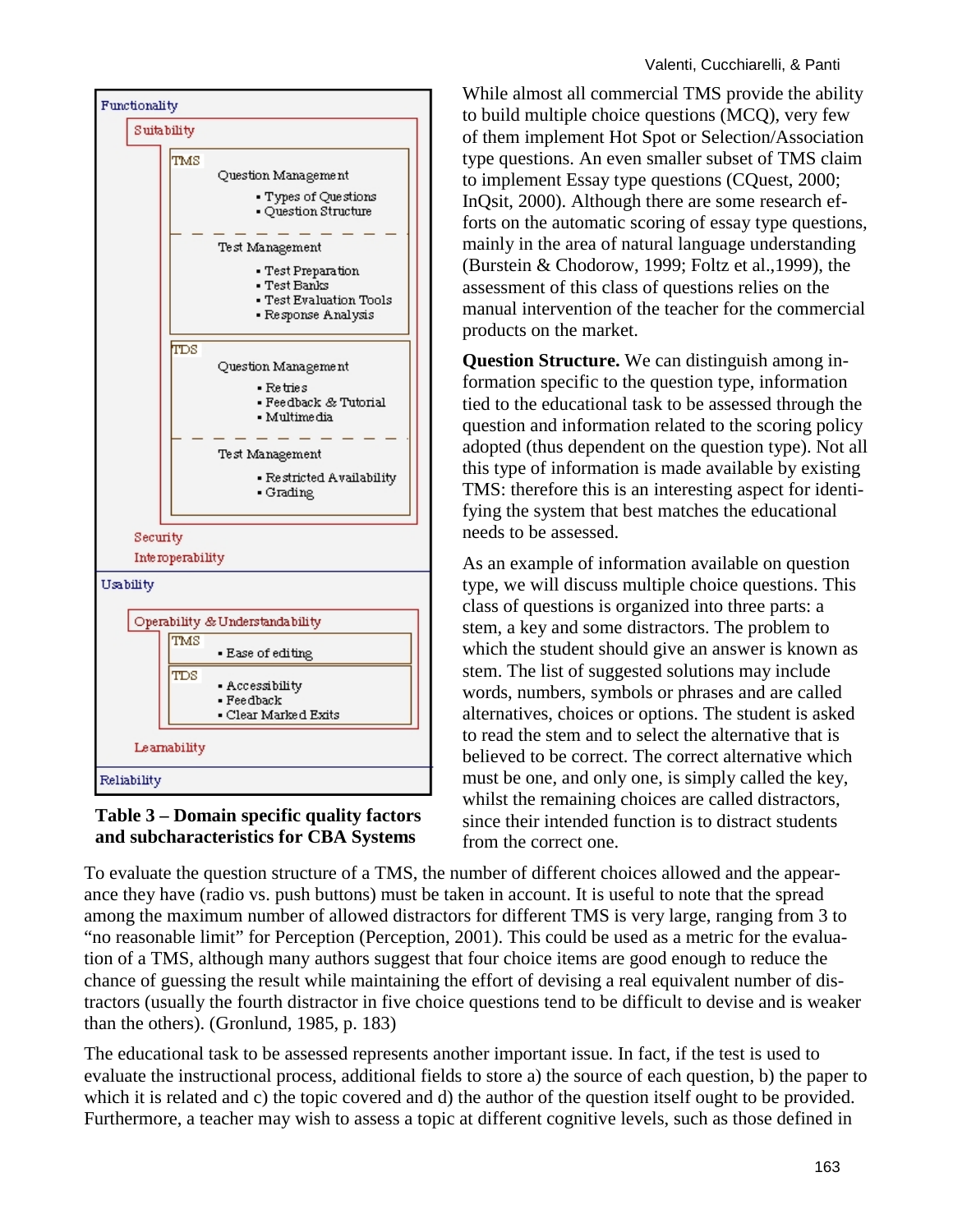

#### **Table 3 – Domain specific quality factors and subcharacteristics for CBA Systems**

While almost all commercial TMS provide the ability to build multiple choice questions (MCQ), very few of them implement Hot Spot or Selection/Association type questions. An even smaller subset of TMS claim to implement Essay type questions (CQuest, 2000; InQsit, 2000). Although there are some research efforts on the automatic scoring of essay type questions, mainly in the area of natural language understanding (Burstein & Chodorow, 1999; Foltz et al.,1999), the assessment of this class of questions relies on the manual intervention of the teacher for the commercial products on the market.

**Question Structure.** We can distinguish among information specific to the question type, information tied to the educational task to be assessed through the question and information related to the scoring policy adopted (thus dependent on the question type). Not all this type of information is made available by existing TMS: therefore this is an interesting aspect for identifying the system that best matches the educational needs to be assessed.

As an example of information available on question type, we will discuss multiple choice questions. This class of questions is organized into three parts: a stem, a key and some distractors. The problem to which the student should give an answer is known as stem. The list of suggested solutions may include words, numbers, symbols or phrases and are called alternatives, choices or options. The student is asked to read the stem and to select the alternative that is believed to be correct. The correct alternative which must be one, and only one, is simply called the key, whilst the remaining choices are called distractors, since their intended function is to distract students from the correct one.

To evaluate the question structure of a TMS, the number of different choices allowed and the appearance they have (radio vs. push buttons) must be taken in account. It is useful to note that the spread among the maximum number of allowed distractors for different TMS is very large, ranging from 3 to "no reasonable limit" for Perception (Perception, 2001). This could be used as a metric for the evaluation of a TMS, although many authors suggest that four choice items are good enough to reduce the chance of guessing the result while maintaining the effort of devising a real equivalent number of distractors (usually the fourth distractor in five choice questions tend to be difficult to devise and is weaker than the others). (Gronlund, 1985, p. 183)

The educational task to be assessed represents another important issue. In fact, if the test is used to evaluate the instructional process, additional fields to store a) the source of each question, b) the paper to which it is related and c) the topic covered and d) the author of the question itself ought to be provided. Furthermore, a teacher may wish to assess a topic at different cognitive levels, such as those defined in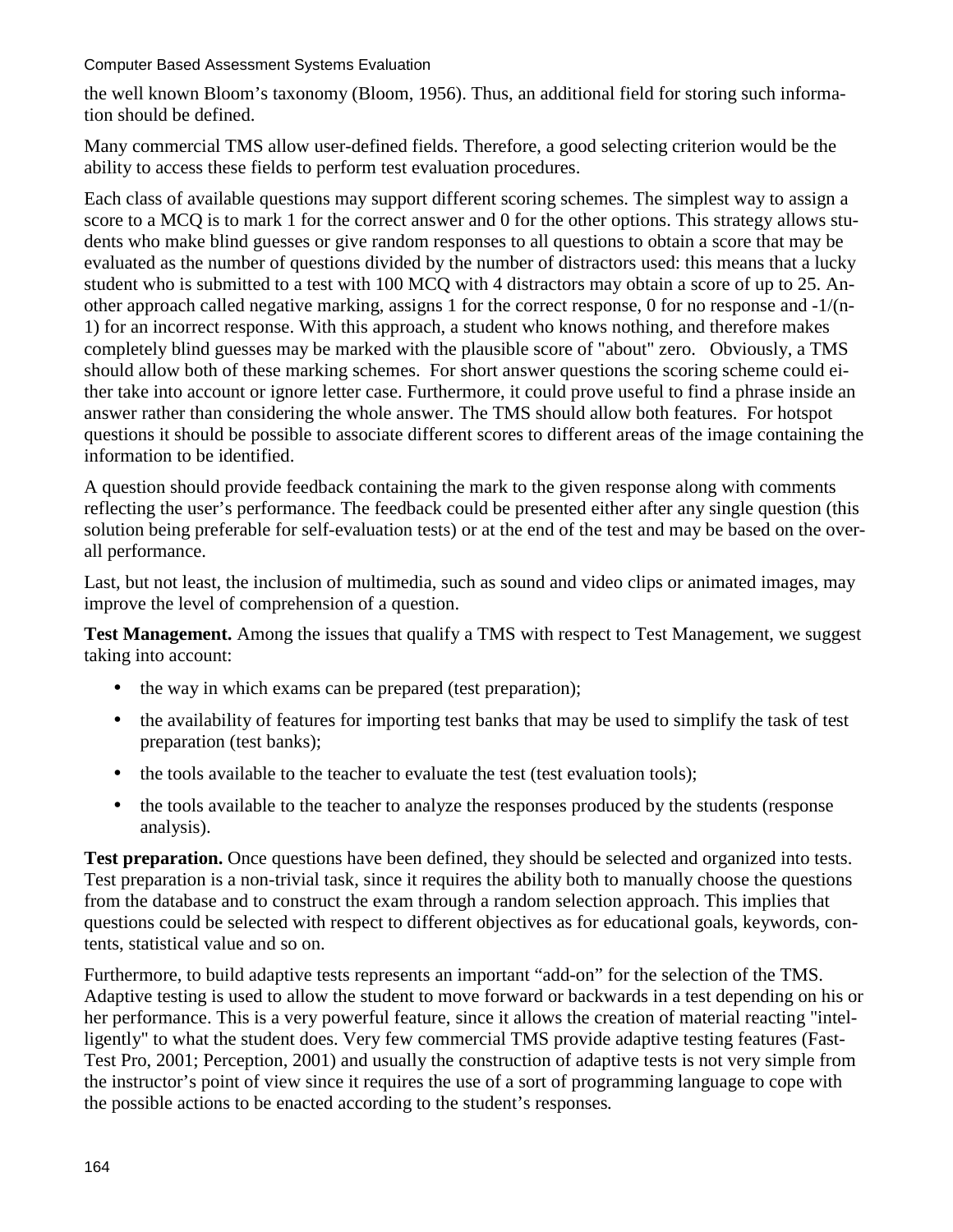the well known Bloom's taxonomy (Bloom, 1956). Thus, an additional field for storing such information should be defined.

Many commercial TMS allow user-defined fields. Therefore, a good selecting criterion would be the ability to access these fields to perform test evaluation procedures.

Each class of available questions may support different scoring schemes. The simplest way to assign a score to a MCQ is to mark 1 for the correct answer and 0 for the other options. This strategy allows students who make blind guesses or give random responses to all questions to obtain a score that may be evaluated as the number of questions divided by the number of distractors used: this means that a lucky student who is submitted to a test with 100 MCQ with 4 distractors may obtain a score of up to 25. Another approach called negative marking, assigns 1 for the correct response, 0 for no response and -1/(n-1) for an incorrect response. With this approach, a student who knows nothing, and therefore makes completely blind guesses may be marked with the plausible score of "about" zero. Obviously, a TMS should allow both of these marking schemes. For short answer questions the scoring scheme could either take into account or ignore letter case. Furthermore, it could prove useful to find a phrase inside an answer rather than considering the whole answer. The TMS should allow both features. For hotspot questions it should be possible to associate different scores to different areas of the image containing the information to be identified.

A question should provide feedback containing the mark to the given response along with comments reflecting the user's performance. The feedback could be presented either after any single question (this solution being preferable for self-evaluation tests) or at the end of the test and may be based on the overall performance.

Last, but not least, the inclusion of multimedia, such as sound and video clips or animated images, may improve the level of comprehension of a question.

**Test Management.** Among the issues that qualify a TMS with respect to Test Management, we suggest taking into account:

- the way in which exams can be prepared (test preparation);
- the availability of features for importing test banks that may be used to simplify the task of test preparation (test banks);
- the tools available to the teacher to evaluate the test (test evaluation tools);
- the tools available to the teacher to analyze the responses produced by the students (response analysis).

**Test preparation.** Once questions have been defined, they should be selected and organized into tests. Test preparation is a non-trivial task, since it requires the ability both to manually choose the questions from the database and to construct the exam through a random selection approach. This implies that questions could be selected with respect to different objectives as for educational goals, keywords, contents, statistical value and so on.

Furthermore, to build adaptive tests represents an important "add-on" for the selection of the TMS. Adaptive testing is used to allow the student to move forward or backwards in a test depending on his or her performance. This is a very powerful feature, since it allows the creation of material reacting "intelligently" to what the student does. Very few commercial TMS provide adaptive testing features (Fast-Test Pro, 2001; Perception, 2001) and usually the construction of adaptive tests is not very simple from the instructor's point of view since it requires the use of a sort of programming language to cope with the possible actions to be enacted according to the student's responses*.*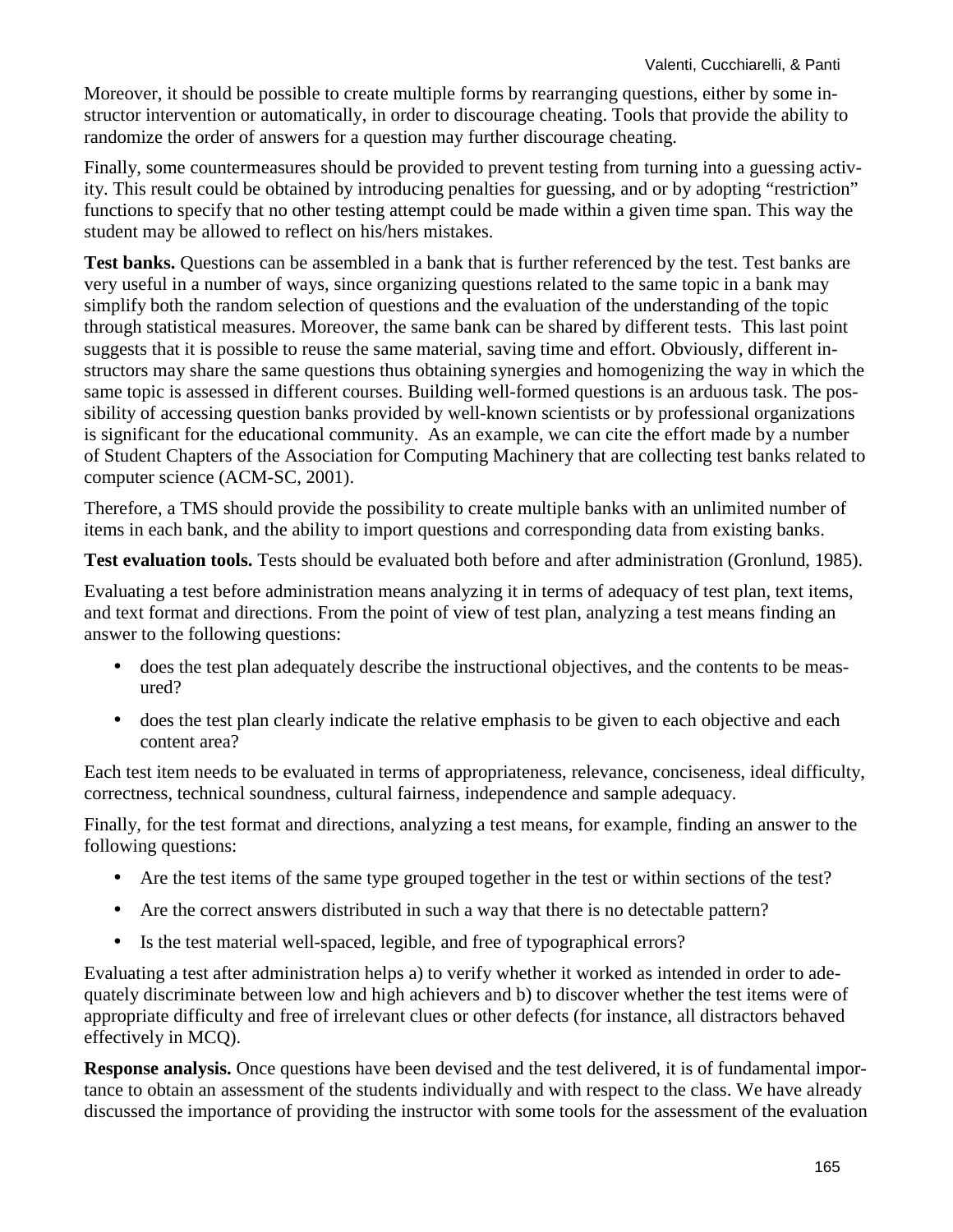Moreover, it should be possible to create multiple forms by rearranging questions, either by some instructor intervention or automatically, in order to discourage cheating. Tools that provide the ability to randomize the order of answers for a question may further discourage cheating.

Finally, some countermeasures should be provided to prevent testing from turning into a guessing activity. This result could be obtained by introducing penalties for guessing, and or by adopting "restriction" functions to specify that no other testing attempt could be made within a given time span. This way the student may be allowed to reflect on his/hers mistakes.

**Test banks.** Questions can be assembled in a bank that is further referenced by the test. Test banks are very useful in a number of ways, since organizing questions related to the same topic in a bank may simplify both the random selection of questions and the evaluation of the understanding of the topic through statistical measures. Moreover, the same bank can be shared by different tests. This last point suggests that it is possible to reuse the same material, saving time and effort. Obviously, different instructors may share the same questions thus obtaining synergies and homogenizing the way in which the same topic is assessed in different courses. Building well-formed questions is an arduous task. The possibility of accessing question banks provided by well-known scientists or by professional organizations is significant for the educational community. As an example, we can cite the effort made by a number of Student Chapters of the Association for Computing Machinery that are collecting test banks related to computer science (ACM-SC, 2001).

Therefore, a TMS should provide the possibility to create multiple banks with an unlimited number of items in each bank, and the ability to import questions and corresponding data from existing banks.

**Test evaluation tools.** Tests should be evaluated both before and after administration (Gronlund, 1985).

Evaluating a test before administration means analyzing it in terms of adequacy of test plan, text items, and text format and directions. From the point of view of test plan, analyzing a test means finding an answer to the following questions:

- does the test plan adequately describe the instructional objectives, and the contents to be measured?
- does the test plan clearly indicate the relative emphasis to be given to each objective and each content area?

Each test item needs to be evaluated in terms of appropriateness, relevance, conciseness, ideal difficulty, correctness, technical soundness, cultural fairness, independence and sample adequacy.

Finally, for the test format and directions, analyzing a test means, for example, finding an answer to the following questions:

- Are the test items of the same type grouped together in the test or within sections of the test?
- Are the correct answers distributed in such a way that there is no detectable pattern?
- Is the test material well-spaced, legible, and free of typographical errors?

Evaluating a test after administration helps a) to verify whether it worked as intended in order to adequately discriminate between low and high achievers and b) to discover whether the test items were of appropriate difficulty and free of irrelevant clues or other defects (for instance, all distractors behaved effectively in MCQ).

**Response analysis.** Once questions have been devised and the test delivered, it is of fundamental importance to obtain an assessment of the students individually and with respect to the class. We have already discussed the importance of providing the instructor with some tools for the assessment of the evaluation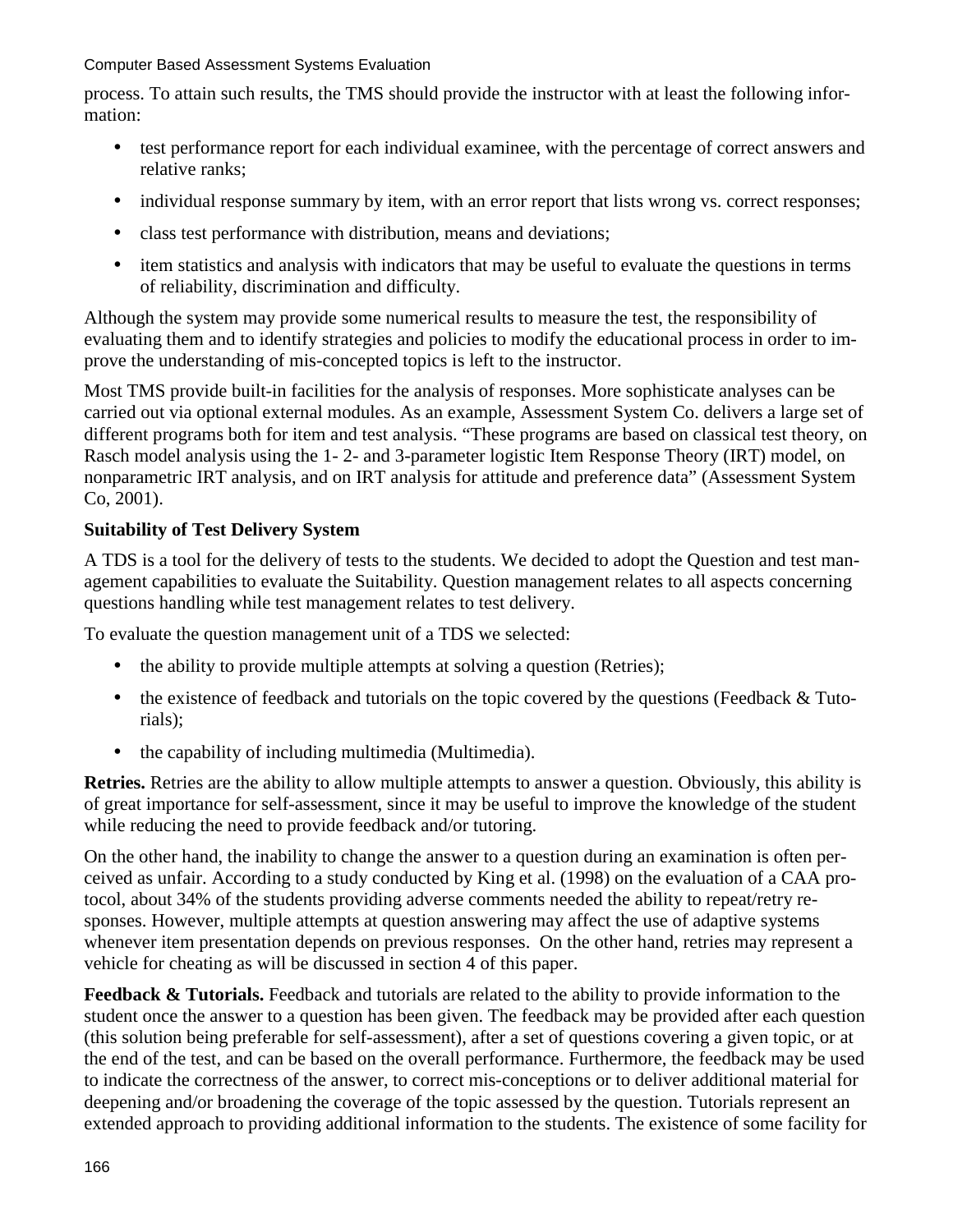process. To attain such results, the TMS should provide the instructor with at least the following information:

- test performance report for each individual examinee, with the percentage of correct answers and relative ranks;
- individual response summary by item, with an error report that lists wrong vs. correct responses;
- class test performance with distribution, means and deviations;
- item statistics and analysis with indicators that may be useful to evaluate the questions in terms of reliability, discrimination and difficulty.

Although the system may provide some numerical results to measure the test, the responsibility of evaluating them and to identify strategies and policies to modify the educational process in order to improve the understanding of mis-concepted topics is left to the instructor.

Most TMS provide built-in facilities for the analysis of responses. More sophisticate analyses can be carried out via optional external modules. As an example, Assessment System Co. delivers a large set of different programs both for item and test analysis. "These programs are based on classical test theory, on Rasch model analysis using the 1- 2- and 3-parameter logistic Item Response Theory (IRT) model, on nonparametric IRT analysis, and on IRT analysis for attitude and preference data" (Assessment System Co, 2001).

#### **Suitability of Test Delivery System**

A TDS is a tool for the delivery of tests to the students. We decided to adopt the Question and test management capabilities to evaluate the Suitability. Question management relates to all aspects concerning questions handling while test management relates to test delivery.

To evaluate the question management unit of a TDS we selected:

- the ability to provide multiple attempts at solving a question (Retries);
- the existence of feedback and tutorials on the topic covered by the questions (Feedback & Tutorials);
- the capability of including multimedia (Multimedia).

**Retries.** Retries are the ability to allow multiple attempts to answer a question. Obviously, this ability is of great importance for self-assessment, since it may be useful to improve the knowledge of the student while reducing the need to provide feedback and/or tutoring.

On the other hand, the inability to change the answer to a question during an examination is often perceived as unfair. According to a study conducted by King et al. (1998) on the evaluation of a CAA protocol, about 34% of the students providing adverse comments needed the ability to repeat/retry responses. However, multiple attempts at question answering may affect the use of adaptive systems whenever item presentation depends on previous responses. On the other hand, retries may represent a vehicle for cheating as will be discussed in section 4 of this paper.

**Feedback & Tutorials.** Feedback and tutorials are related to the ability to provide information to the student once the answer to a question has been given. The feedback may be provided after each question (this solution being preferable for self-assessment), after a set of questions covering a given topic, or at the end of the test, and can be based on the overall performance. Furthermore, the feedback may be used to indicate the correctness of the answer, to correct mis-conceptions or to deliver additional material for deepening and/or broadening the coverage of the topic assessed by the question. Tutorials represent an extended approach to providing additional information to the students. The existence of some facility for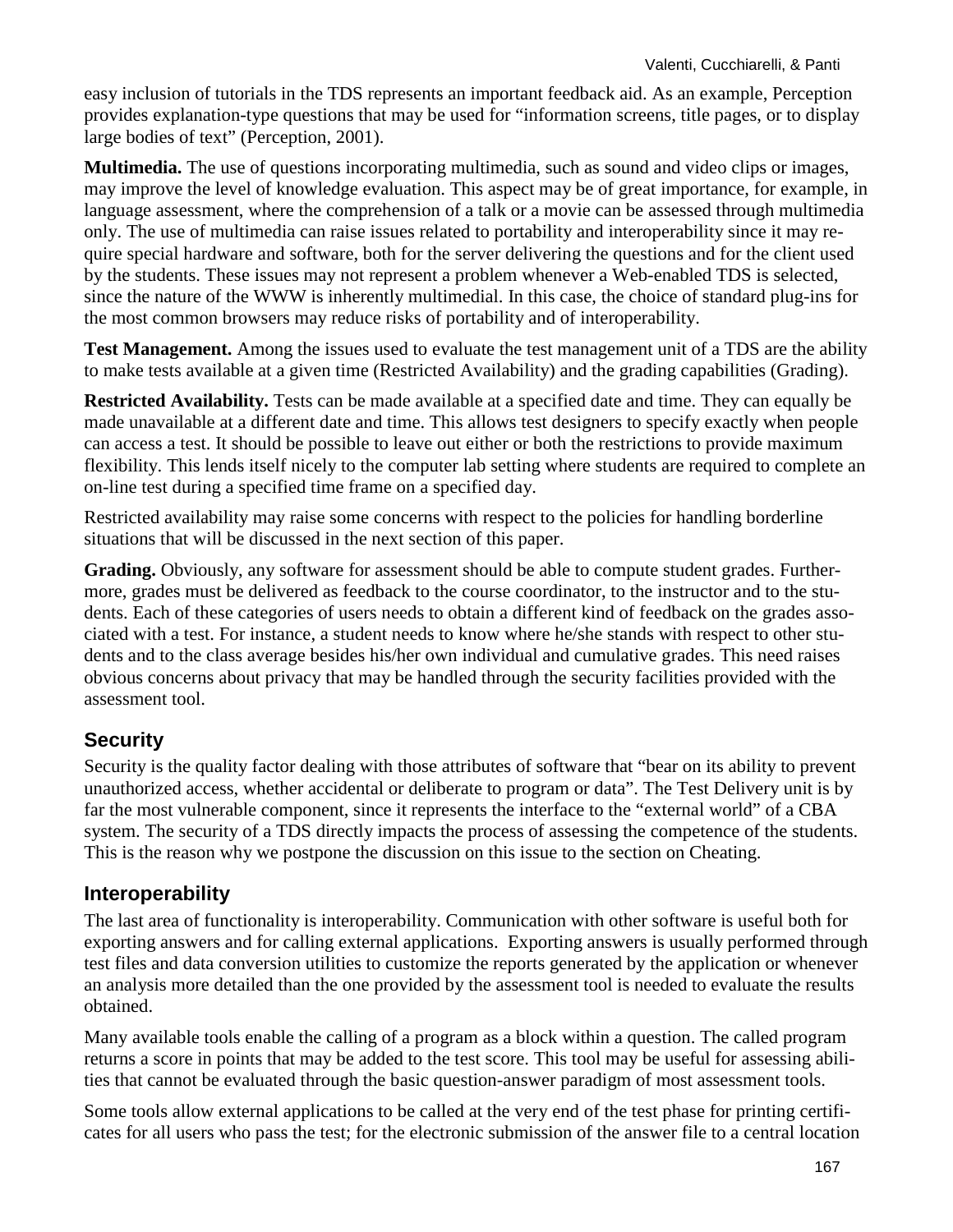easy inclusion of tutorials in the TDS represents an important feedback aid. As an example, Perception provides explanation-type questions that may be used for "information screens, title pages, or to display large bodies of text" (Perception, 2001).

**Multimedia.** The use of questions incorporating multimedia, such as sound and video clips or images, may improve the level of knowledge evaluation. This aspect may be of great importance, for example, in language assessment, where the comprehension of a talk or a movie can be assessed through multimedia only. The use of multimedia can raise issues related to portability and interoperability since it may require special hardware and software, both for the server delivering the questions and for the client used by the students. These issues may not represent a problem whenever a Web-enabled TDS is selected, since the nature of the WWW is inherently multimedial. In this case, the choice of standard plug-ins for the most common browsers may reduce risks of portability and of interoperability.

**Test Management.** Among the issues used to evaluate the test management unit of a TDS are the ability to make tests available at a given time (Restricted Availability) and the grading capabilities (Grading).

**Restricted Availability.** Tests can be made available at a specified date and time. They can equally be made unavailable at a different date and time. This allows test designers to specify exactly when people can access a test. It should be possible to leave out either or both the restrictions to provide maximum flexibility. This lends itself nicely to the computer lab setting where students are required to complete an on-line test during a specified time frame on a specified day.

Restricted availability may raise some concerns with respect to the policies for handling borderline situations that will be discussed in the next section of this paper.

**Grading.** Obviously, any software for assessment should be able to compute student grades. Furthermore, grades must be delivered as feedback to the course coordinator, to the instructor and to the students. Each of these categories of users needs to obtain a different kind of feedback on the grades associated with a test. For instance, a student needs to know where he/she stands with respect to other students and to the class average besides his/her own individual and cumulative grades. This need raises obvious concerns about privacy that may be handled through the security facilities provided with the assessment tool.

### **Security**

Security is the quality factor dealing with those attributes of software that "bear on its ability to prevent unauthorized access, whether accidental or deliberate to program or data". The Test Delivery unit is by far the most vulnerable component, since it represents the interface to the "external world" of a CBA system. The security of a TDS directly impacts the process of assessing the competence of the students. This is the reason why we postpone the discussion on this issue to the section on Cheating.

#### **Interoperability**

The last area of functionality is interoperability. Communication with other software is useful both for exporting answers and for calling external applications. Exporting answers is usually performed through test files and data conversion utilities to customize the reports generated by the application or whenever an analysis more detailed than the one provided by the assessment tool is needed to evaluate the results obtained.

Many available tools enable the calling of a program as a block within a question. The called program returns a score in points that may be added to the test score. This tool may be useful for assessing abilities that cannot be evaluated through the basic question-answer paradigm of most assessment tools.

Some tools allow external applications to be called at the very end of the test phase for printing certificates for all users who pass the test; for the electronic submission of the answer file to a central location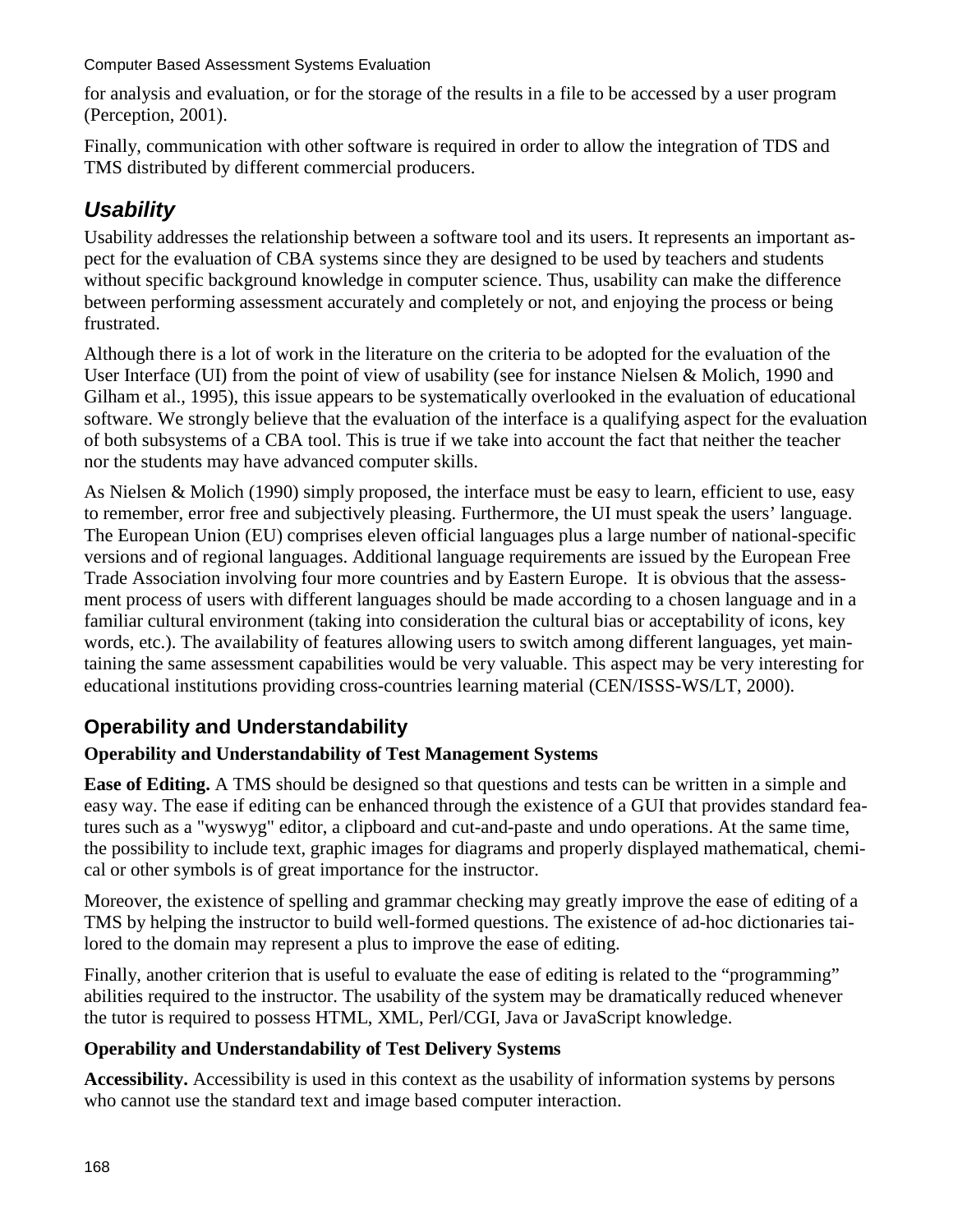for analysis and evaluation, or for the storage of the results in a file to be accessed by a user program (Perception, 2001).

Finally, communication with other software is required in order to allow the integration of TDS and TMS distributed by different commercial producers.

## *Usability*

Usability addresses the relationship between a software tool and its users. It represents an important aspect for the evaluation of CBA systems since they are designed to be used by teachers and students without specific background knowledge in computer science. Thus, usability can make the difference between performing assessment accurately and completely or not, and enjoying the process or being frustrated.

Although there is a lot of work in the literature on the criteria to be adopted for the evaluation of the User Interface (UI) from the point of view of usability (see for instance Nielsen & Molich, 1990 and Gilham et al., 1995), this issue appears to be systematically overlooked in the evaluation of educational software. We strongly believe that the evaluation of the interface is a qualifying aspect for the evaluation of both subsystems of a CBA tool. This is true if we take into account the fact that neither the teacher nor the students may have advanced computer skills.

As Nielsen & Molich (1990) simply proposed, the interface must be easy to learn, efficient to use, easy to remember, error free and subjectively pleasing. Furthermore, the UI must speak the users' language. The European Union (EU) comprises eleven official languages plus a large number of national-specific versions and of regional languages. Additional language requirements are issued by the European Free Trade Association involving four more countries and by Eastern Europe. It is obvious that the assessment process of users with different languages should be made according to a chosen language and in a familiar cultural environment (taking into consideration the cultural bias or acceptability of icons, key words, etc.). The availability of features allowing users to switch among different languages, yet maintaining the same assessment capabilities would be very valuable. This aspect may be very interesting for educational institutions providing cross-countries learning material (CEN/ISSS-WS/LT, 2000).

## **Operability and Understandability**

### **Operability and Understandability of Test Management Systems**

**Ease of Editing.** A TMS should be designed so that questions and tests can be written in a simple and easy way. The ease if editing can be enhanced through the existence of a GUI that provides standard features such as a "wyswyg" editor, a clipboard and cut-and-paste and undo operations. At the same time, the possibility to include text, graphic images for diagrams and properly displayed mathematical, chemical or other symbols is of great importance for the instructor.

Moreover, the existence of spelling and grammar checking may greatly improve the ease of editing of a TMS by helping the instructor to build well-formed questions. The existence of ad-hoc dictionaries tailored to the domain may represent a plus to improve the ease of editing.

Finally, another criterion that is useful to evaluate the ease of editing is related to the "programming" abilities required to the instructor. The usability of the system may be dramatically reduced whenever the tutor is required to possess HTML, XML, Perl/CGI, Java or JavaScript knowledge.

#### **Operability and Understandability of Test Delivery Systems**

**Accessibility.** Accessibility is used in this context as the usability of information systems by persons who cannot use the standard text and image based computer interaction.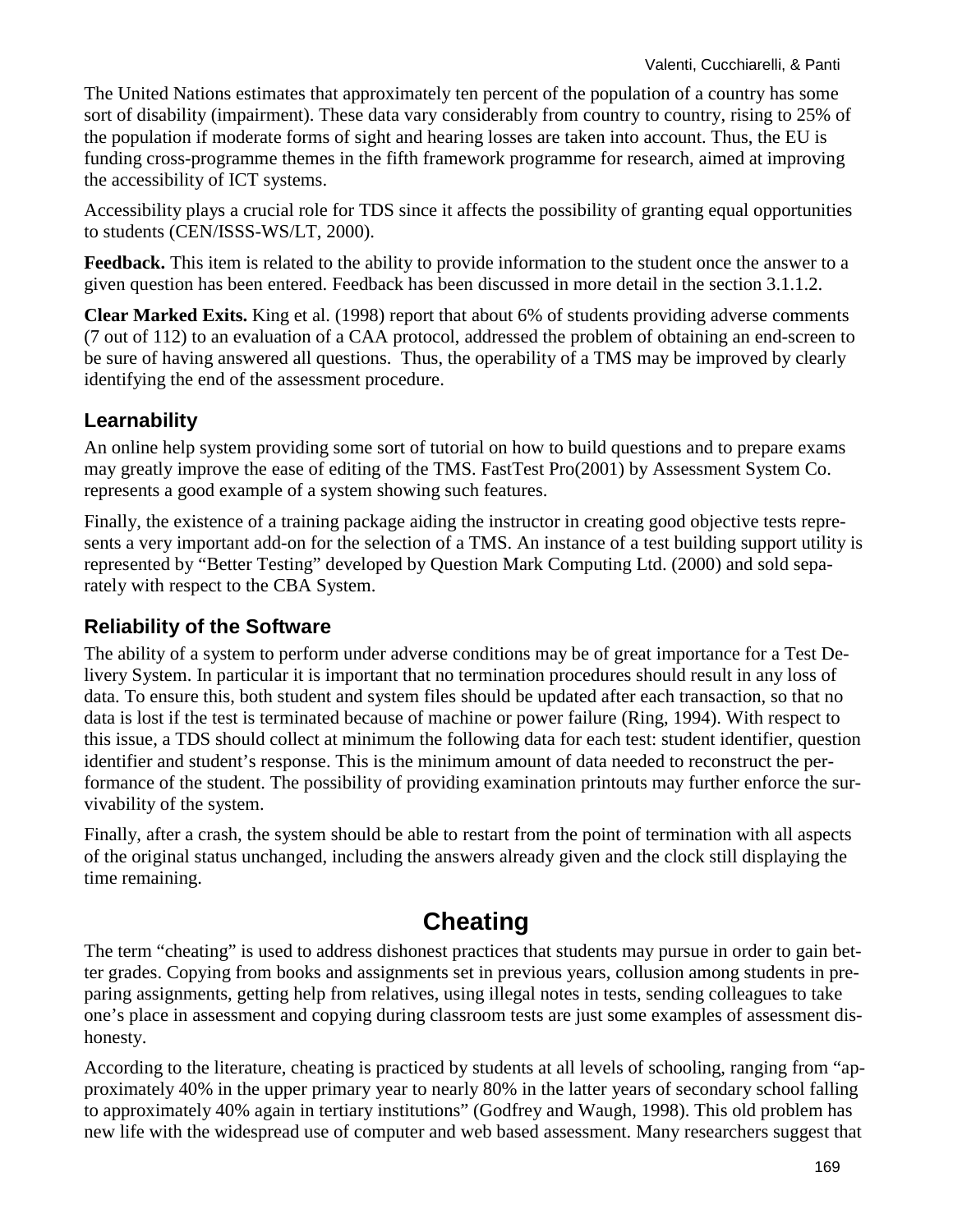The United Nations estimates that approximately ten percent of the population of a country has some sort of disability (impairment). These data vary considerably from country to country, rising to 25% of the population if moderate forms of sight and hearing losses are taken into account. Thus, the EU is funding cross-programme themes in the fifth framework programme for research, aimed at improving the accessibility of ICT systems.

Accessibility plays a crucial role for TDS since it affects the possibility of granting equal opportunities to students (CEN/ISSS-WS/LT, 2000).

**Feedback.** This item is related to the ability to provide information to the student once the answer to a given question has been entered. Feedback has been discussed in more detail in the section 3.1.1.2.

**Clear Marked Exits.** King et al. (1998) report that about 6% of students providing adverse comments (7 out of 112) to an evaluation of a CAA protocol, addressed the problem of obtaining an end-screen to be sure of having answered all questions. Thus, the operability of a TMS may be improved by clearly identifying the end of the assessment procedure.

### **Learnability**

An online help system providing some sort of tutorial on how to build questions and to prepare exams may greatly improve the ease of editing of the TMS. FastTest Pro(2001) by Assessment System Co. represents a good example of a system showing such features.

Finally, the existence of a training package aiding the instructor in creating good objective tests represents a very important add-on for the selection of a TMS. An instance of a test building support utility is represented by "Better Testing" developed by Question Mark Computing Ltd. (2000) and sold separately with respect to the CBA System.

### **Reliability of the Software**

The ability of a system to perform under adverse conditions may be of great importance for a Test Delivery System. In particular it is important that no termination procedures should result in any loss of data. To ensure this, both student and system files should be updated after each transaction, so that no data is lost if the test is terminated because of machine or power failure (Ring, 1994). With respect to this issue, a TDS should collect at minimum the following data for each test: student identifier, question identifier and student's response. This is the minimum amount of data needed to reconstruct the performance of the student. The possibility of providing examination printouts may further enforce the survivability of the system.

Finally, after a crash, the system should be able to restart from the point of termination with all aspects of the original status unchanged, including the answers already given and the clock still displaying the time remaining.

## **Cheating**

The term "cheating" is used to address dishonest practices that students may pursue in order to gain better grades. Copying from books and assignments set in previous years, collusion among students in preparing assignments, getting help from relatives, using illegal notes in tests, sending colleagues to take one's place in assessment and copying during classroom tests are just some examples of assessment dishonesty.

According to the literature, cheating is practiced by students at all levels of schooling, ranging from "approximately 40% in the upper primary year to nearly 80% in the latter years of secondary school falling to approximately 40% again in tertiary institutions" (Godfrey and Waugh, 1998). This old problem has new life with the widespread use of computer and web based assessment. Many researchers suggest that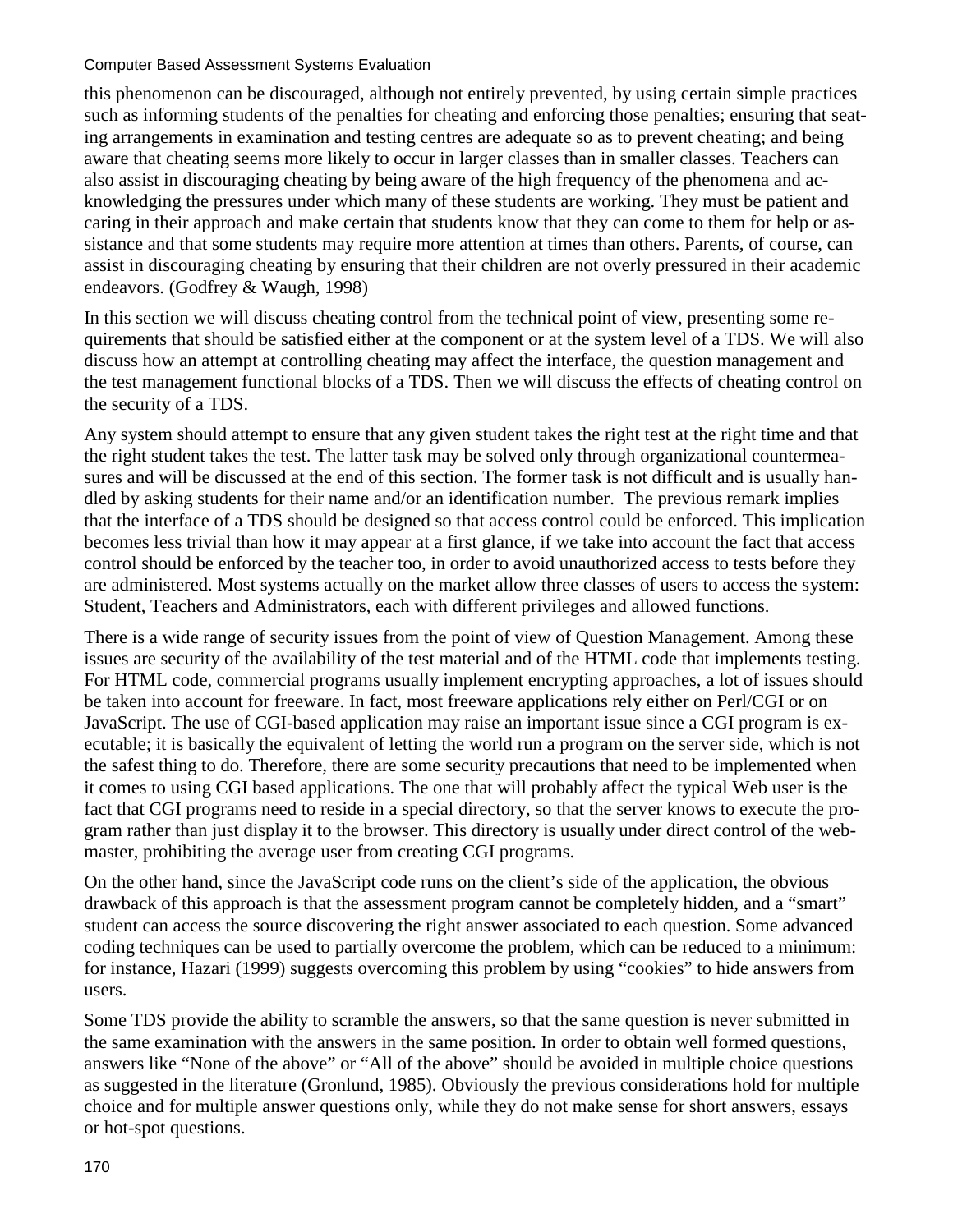this phenomenon can be discouraged, although not entirely prevented, by using certain simple practices such as informing students of the penalties for cheating and enforcing those penalties; ensuring that seating arrangements in examination and testing centres are adequate so as to prevent cheating; and being aware that cheating seems more likely to occur in larger classes than in smaller classes. Teachers can also assist in discouraging cheating by being aware of the high frequency of the phenomena and acknowledging the pressures under which many of these students are working. They must be patient and caring in their approach and make certain that students know that they can come to them for help or assistance and that some students may require more attention at times than others. Parents, of course, can assist in discouraging cheating by ensuring that their children are not overly pressured in their academic endeavors. (Godfrey & Waugh, 1998)

In this section we will discuss cheating control from the technical point of view, presenting some requirements that should be satisfied either at the component or at the system level of a TDS. We will also discuss how an attempt at controlling cheating may affect the interface, the question management and the test management functional blocks of a TDS. Then we will discuss the effects of cheating control on the security of a TDS.

Any system should attempt to ensure that any given student takes the right test at the right time and that the right student takes the test. The latter task may be solved only through organizational countermeasures and will be discussed at the end of this section. The former task is not difficult and is usually handled by asking students for their name and/or an identification number. The previous remark implies that the interface of a TDS should be designed so that access control could be enforced. This implication becomes less trivial than how it may appear at a first glance, if we take into account the fact that access control should be enforced by the teacher too, in order to avoid unauthorized access to tests before they are administered. Most systems actually on the market allow three classes of users to access the system: Student, Teachers and Administrators, each with different privileges and allowed functions.

There is a wide range of security issues from the point of view of Question Management. Among these issues are security of the availability of the test material and of the HTML code that implements testing. For HTML code, commercial programs usually implement encrypting approaches, a lot of issues should be taken into account for freeware. In fact, most freeware applications rely either on Perl/CGI or on JavaScript. The use of CGI-based application may raise an important issue since a CGI program is executable; it is basically the equivalent of letting the world run a program on the server side, which is not the safest thing to do. Therefore, there are some security precautions that need to be implemented when it comes to using CGI based applications. The one that will probably affect the typical Web user is the fact that CGI programs need to reside in a special directory, so that the server knows to execute the program rather than just display it to the browser. This directory is usually under direct control of the webmaster, prohibiting the average user from creating CGI programs.

On the other hand, since the JavaScript code runs on the client's side of the application, the obvious drawback of this approach is that the assessment program cannot be completely hidden, and a "smart" student can access the source discovering the right answer associated to each question. Some advanced coding techniques can be used to partially overcome the problem, which can be reduced to a minimum: for instance, Hazari (1999) suggests overcoming this problem by using "cookies" to hide answers from users.

Some TDS provide the ability to scramble the answers, so that the same question is never submitted in the same examination with the answers in the same position. In order to obtain well formed questions, answers like "None of the above" or "All of the above" should be avoided in multiple choice questions as suggested in the literature (Gronlund, 1985). Obviously the previous considerations hold for multiple choice and for multiple answer questions only, while they do not make sense for short answers, essays or hot-spot questions.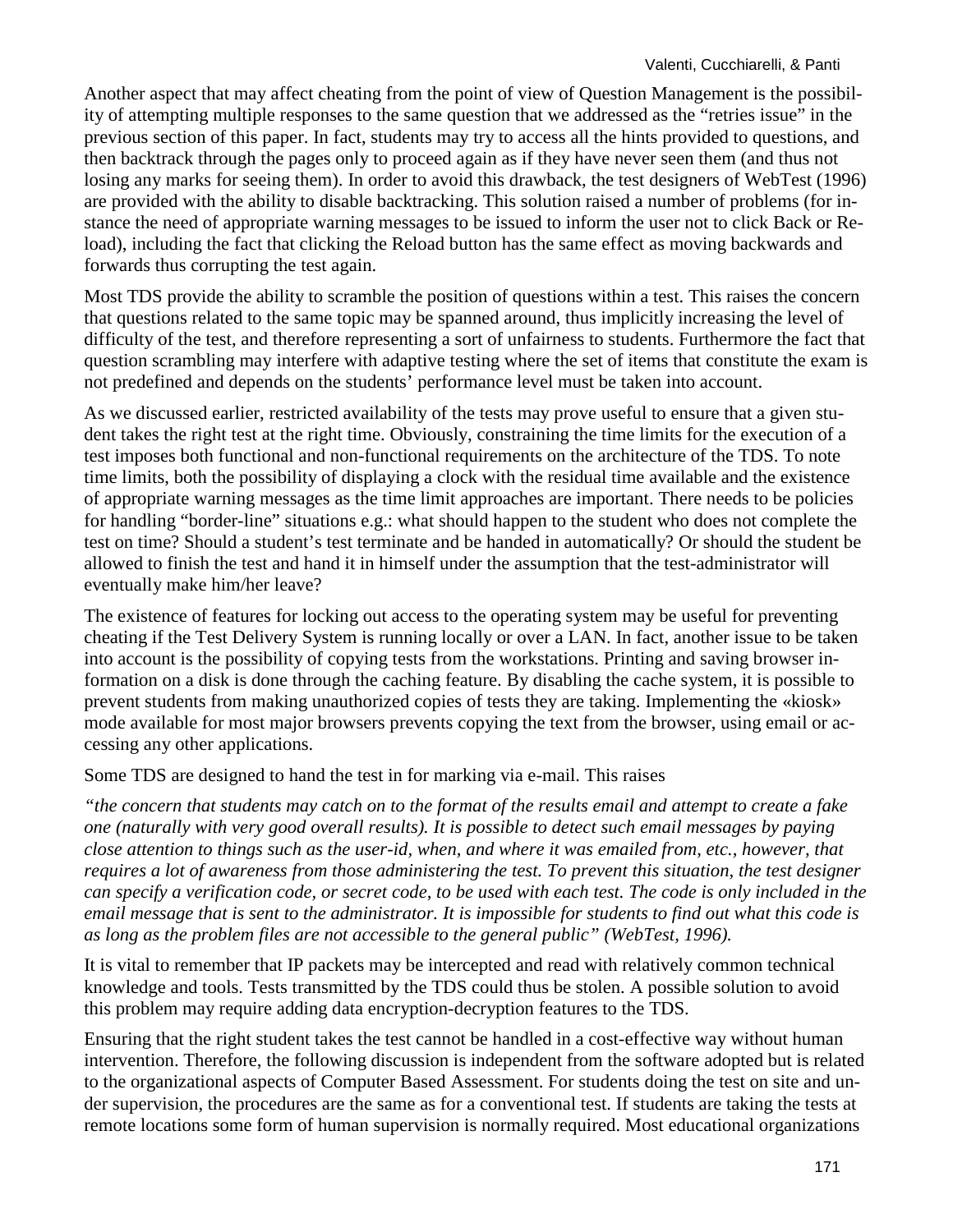Another aspect that may affect cheating from the point of view of Question Management is the possibility of attempting multiple responses to the same question that we addressed as the "retries issue" in the previous section of this paper. In fact, students may try to access all the hints provided to questions, and then backtrack through the pages only to proceed again as if they have never seen them (and thus not losing any marks for seeing them). In order to avoid this drawback, the test designers of WebTest (1996) are provided with the ability to disable backtracking. This solution raised a number of problems (for instance the need of appropriate warning messages to be issued to inform the user not to click Back or Reload), including the fact that clicking the Reload button has the same effect as moving backwards and forwards thus corrupting the test again.

Most TDS provide the ability to scramble the position of questions within a test. This raises the concern that questions related to the same topic may be spanned around, thus implicitly increasing the level of difficulty of the test, and therefore representing a sort of unfairness to students. Furthermore the fact that question scrambling may interfere with adaptive testing where the set of items that constitute the exam is not predefined and depends on the students' performance level must be taken into account.

As we discussed earlier, restricted availability of the tests may prove useful to ensure that a given student takes the right test at the right time. Obviously, constraining the time limits for the execution of a test imposes both functional and non-functional requirements on the architecture of the TDS. To note time limits, both the possibility of displaying a clock with the residual time available and the existence of appropriate warning messages as the time limit approaches are important. There needs to be policies for handling "border-line" situations e.g.: what should happen to the student who does not complete the test on time? Should a student's test terminate and be handed in automatically? Or should the student be allowed to finish the test and hand it in himself under the assumption that the test-administrator will eventually make him/her leave?

The existence of features for locking out access to the operating system may be useful for preventing cheating if the Test Delivery System is running locally or over a LAN. In fact, another issue to be taken into account is the possibility of copying tests from the workstations. Printing and saving browser information on a disk is done through the caching feature. By disabling the cache system, it is possible to prevent students from making unauthorized copies of tests they are taking. Implementing the «kiosk» mode available for most major browsers prevents copying the text from the browser, using email or accessing any other applications.

Some TDS are designed to hand the test in for marking via e-mail. This raises

*"the concern that students may catch on to the format of the results email and attempt to create a fake one (naturally with very good overall results). It is possible to detect such email messages by paying close attention to things such as the user-id, when, and where it was emailed from, etc., however, that requires a lot of awareness from those administering the test. To prevent this situation, the test designer can specify a verification code, or secret code, to be used with each test. The code is only included in the email message that is sent to the administrator. It is impossible for students to find out what this code is as long as the problem files are not accessible to the general public" (WebTest, 1996).*

It is vital to remember that IP packets may be intercepted and read with relatively common technical knowledge and tools. Tests transmitted by the TDS could thus be stolen. A possible solution to avoid this problem may require adding data encryption-decryption features to the TDS.

Ensuring that the right student takes the test cannot be handled in a cost-effective way without human intervention. Therefore, the following discussion is independent from the software adopted but is related to the organizational aspects of Computer Based Assessment. For students doing the test on site and under supervision, the procedures are the same as for a conventional test. If students are taking the tests at remote locations some form of human supervision is normally required. Most educational organizations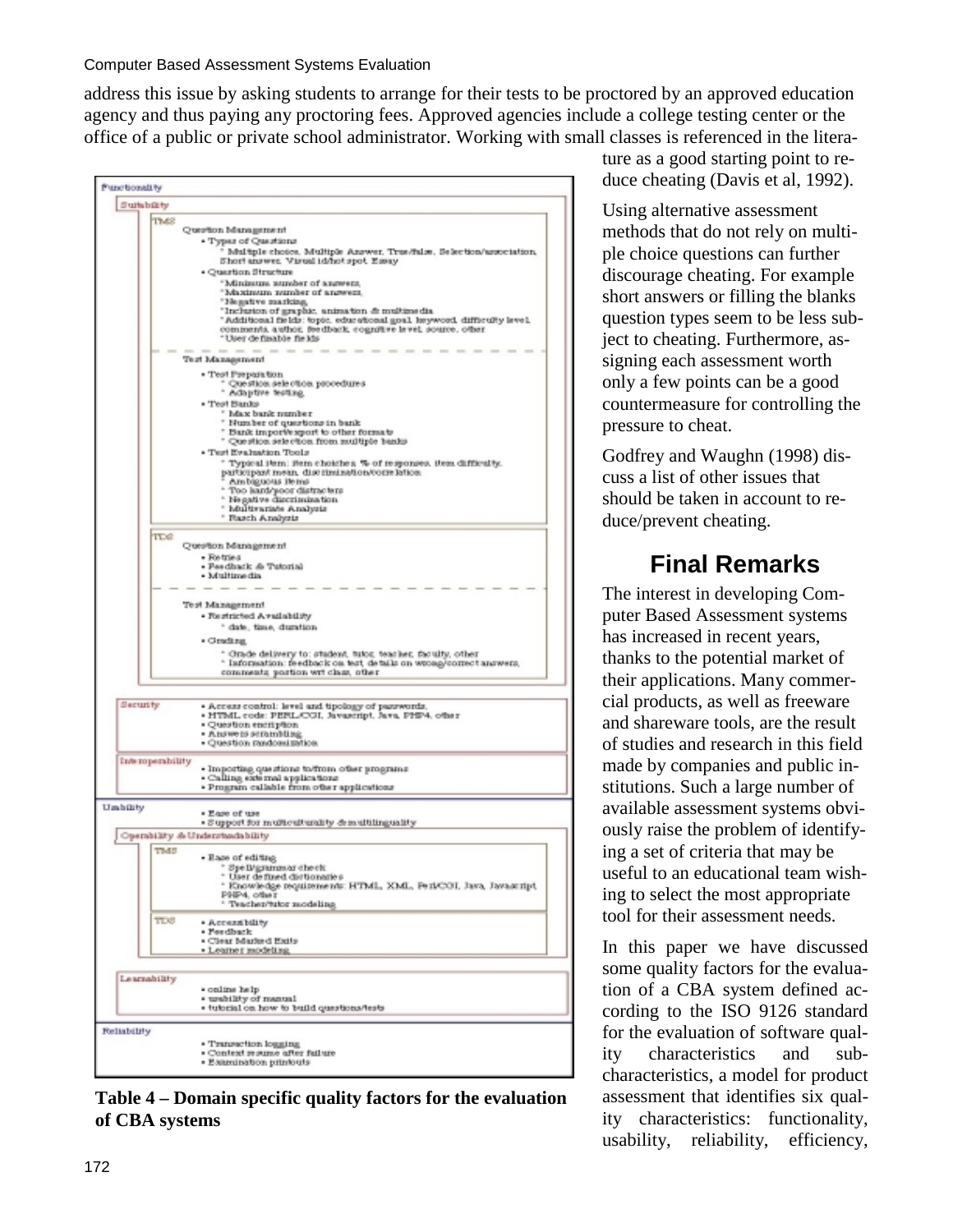address this issue by asking students to arrange for their tests to be proctored by an approved education agency and thus paying any proctoring fees. Approved agencies include a college testing center or the office of a public or private school administrator. Working with small classes is referenced in the litera-



**Table 4 – Domain specific quality factors for the evaluation of CBA systems** 

ture as a good starting point to reduce cheating (Davis et al, 1992).

Using alternative assessment methods that do not rely on multiple choice questions can further discourage cheating. For example short answers or filling the blanks question types seem to be less subject to cheating. Furthermore, assigning each assessment worth only a few points can be a good countermeasure for controlling the pressure to cheat.

Godfrey and Waughn (1998) discuss a list of other issues that should be taken in account to reduce/prevent cheating.

# **Final Remarks**

The interest in developing Computer Based Assessment systems has increased in recent years, thanks to the potential market of their applications. Many commercial products, as well as freeware and shareware tools, are the result of studies and research in this field made by companies and public institutions. Such a large number of available assessment systems obviously raise the problem of identifying a set of criteria that may be useful to an educational team wishing to select the most appropriate tool for their assessment needs.

In this paper we have discussed some quality factors for the evaluation of a CBA system defined according to the ISO 9126 standard for the evaluation of software quality characteristics and subcharacteristics, a model for product assessment that identifies six quality characteristics: functionality, usability, reliability, efficiency,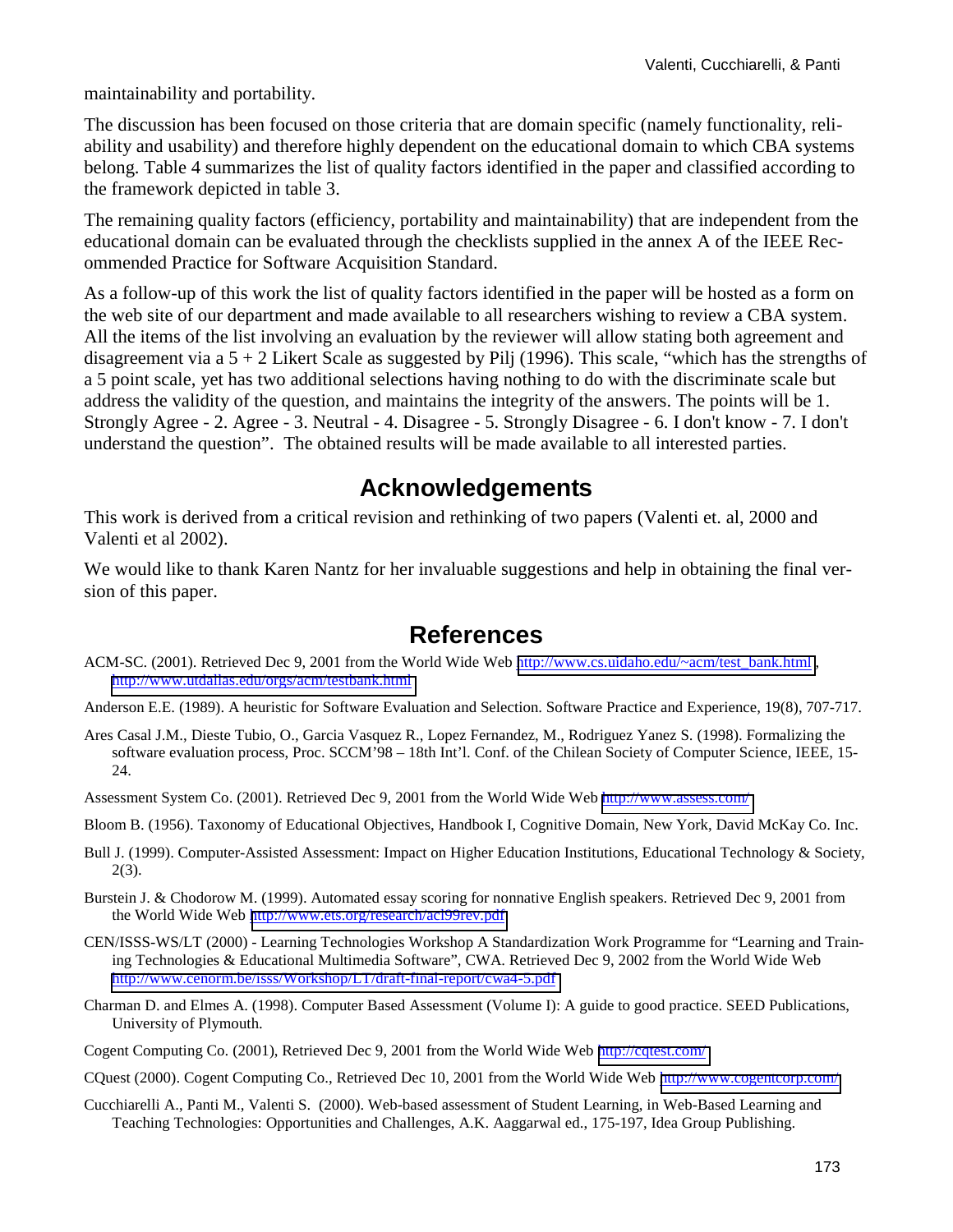maintainability and portability.

The discussion has been focused on those criteria that are domain specific (namely functionality, reliability and usability) and therefore highly dependent on the educational domain to which CBA systems belong. Table 4 summarizes the list of quality factors identified in the paper and classified according to the framework depicted in table 3.

The remaining quality factors (efficiency, portability and maintainability) that are independent from the educational domain can be evaluated through the checklists supplied in the annex A of the IEEE Recommended Practice for Software Acquisition Standard.

As a follow-up of this work the list of quality factors identified in the paper will be hosted as a form on the web site of our department and made available to all researchers wishing to review a CBA system. All the items of the list involving an evaluation by the reviewer will allow stating both agreement and disagreement via a  $5 + 2$  Likert Scale as suggested by Pilj (1996). This scale, "which has the strengths of a 5 point scale, yet has two additional selections having nothing to do with the discriminate scale but address the validity of the question, and maintains the integrity of the answers. The points will be 1. Strongly Agree - 2. Agree - 3. Neutral - 4. Disagree - 5. Strongly Disagree - 6. I don't know - 7. I don't understand the question". The obtained results will be made available to all interested parties.

## **Acknowledgements**

This work is derived from a critical revision and rethinking of two papers (Valenti et. al, 2000 and Valenti et al 2002).

We would like to thank Karen Nantz for her invaluable suggestions and help in obtaining the final version of this paper.

## **References**

- ACM-SC. (2001). Retrieved Dec 9, 2001 from the World Wide Web [http://www.cs.uidaho.edu/~acm/test\\_bank.html](http://www.cs.uidaho.edu/~acm/test_bank.html) , <http://www.utdallas.edu/orgs/acm/testbank.html>
- Anderson E.E. (1989). A heuristic for Software Evaluation and Selection. Software Practice and Experience, 19(8), 707-717.
- Ares Casal J.M., Dieste Tubio, O., Garcia Vasquez R., Lopez Fernandez, M., Rodriguez Yanez S. (1998). Formalizing the software evaluation process, Proc. SCCM'98 – 18th Int'l. Conf. of the Chilean Society of Computer Science, IEEE, 15- 24.

Assessment System Co. (2001). Retrieved Dec 9, 2001 from the World Wide Web <http://www.assess.com/>

- Bloom B. (1956). Taxonomy of Educational Objectives, Handbook I, Cognitive Domain, New York, David McKay Co. Inc.
- Bull J. (1999). Computer-Assisted Assessment: Impact on Higher Education Institutions, Educational Technology & Society, 2(3).
- Burstein J. & Chodorow M. (1999). Automated essay scoring for nonnative English speakers. Retrieved Dec 9, 2001 from the World Wide Web <http://www.ets.org/research/acl99rev.pdf>
- CEN/ISSS-WS/LT (2000) Learning Technologies Workshop A Standardization Work Programme for "Learning and Training Technologies & Educational Multimedia Software", CWA. Retrieved Dec 9, 2002 from the World Wide Web <http://www.cenorm.be/isss/Workshop/LT/draft-final-report/cwa4-5.pdf>
- Charman D. and Elmes A. (1998). Computer Based Assessment (Volume I): A guide to good practice. SEED Publications, University of Plymouth.
- Cogent Computing Co. (2001), Retrieved Dec 9, 2001 from the World Wide Web <http://cqtest.com/>
- CQuest (2000). Cogent Computing Co., Retrieved Dec 10, 2001 from the World Wide Web <http://www.cogentcorp.com/>
- Cucchiarelli A., Panti M., Valenti S. (2000). Web-based assessment of Student Learning, in Web-Based Learning and Teaching Technologies: Opportunities and Challenges, A.K. Aaggarwal ed., 175-197, Idea Group Publishing.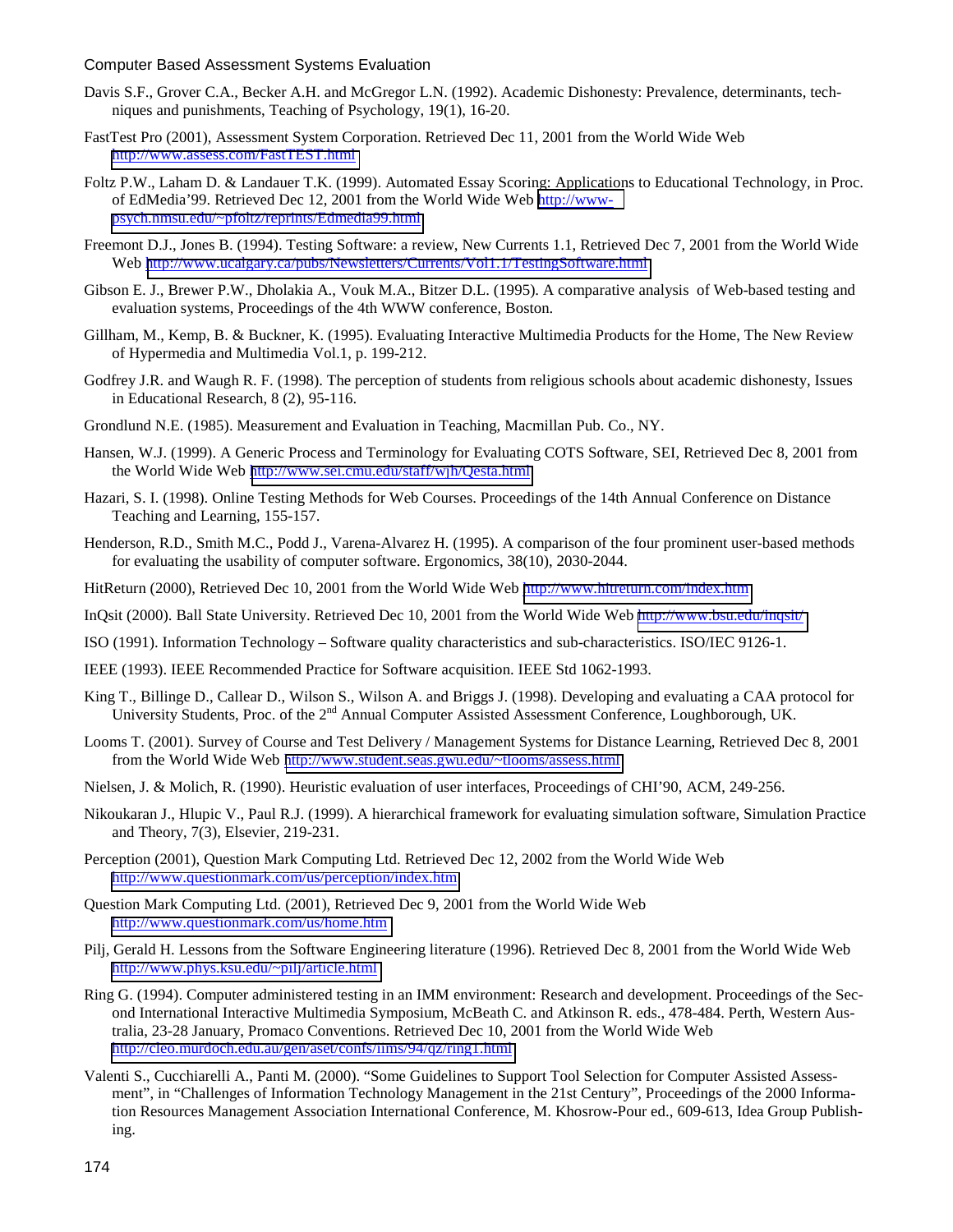- Davis S.F., Grover C.A., Becker A.H. and McGregor L.N. (1992). Academic Dishonesty: Prevalence, determinants, techniques and punishments, Teaching of Psychology, 19(1), 16-20.
- FastTest Pro (2001), Assessment System Corporation. Retrieved Dec 11, 2001 from the World Wide Web <http://www.assess.com/FastTEST.html>
- Foltz P.W., Laham D. & Landauer T.K. (1999). Automated Essay Scoring: Applications to Educational Technology, in Proc. of EdMedia'99. Retrieved Dec 12, 2001 from the World Wide Web [http://www](http://www-psych.nmsu.edu/~pfoltz/reprints/Edmedia99.html)[psych.nmsu.edu/~pfoltz/reprints/Edmedia99.html](http://www-psych.nmsu.edu/~pfoltz/reprints/Edmedia99.html)
- Freemont D.J., Jones B. (1994). Testing Software: a review, New Currents 1.1, Retrieved Dec 7, 2001 from the World Wide Web <http://www.ucalgary.ca/pubs/Newsletters/Currents/Vol1.1/TestingSoftware.html>
- Gibson E. J., Brewer P.W., Dholakia A., Vouk M.A., Bitzer D.L. (1995). A comparative analysis of Web-based testing and evaluation systems, Proceedings of the 4th WWW conference, Boston.
- Gillham, M., Kemp, B. & Buckner, K. (1995). Evaluating Interactive Multimedia Products for the Home, The New Review of Hypermedia and Multimedia Vol.1, p. 199-212.
- Godfrey J.R. and Waugh R. F. (1998). The perception of students from religious schools about academic dishonesty, Issues in Educational Research, 8 (2), 95-116.
- Grondlund N.E. (1985). Measurement and Evaluation in Teaching, Macmillan Pub. Co., NY.
- Hansen, W.J. (1999). A Generic Process and Terminology for Evaluating COTS Software, SEI, Retrieved Dec 8, 2001 from the World Wide Web <http://www.sei.cmu.edu/staff/wjh/Qesta.html>
- Hazari, S. I. (1998). Online Testing Methods for Web Courses. Proceedings of the 14th Annual Conference on Distance Teaching and Learning, 155-157.
- Henderson, R.D., Smith M.C., Podd J., Varena-Alvarez H. (1995). A comparison of the four prominent user-based methods for evaluating the usability of computer software. Ergonomics, 38(10), 2030-2044.
- HitReturn (2000), Retrieved Dec 10, 2001 from the World Wide Web http://www.hitreturn.com/index.htm
- InQsit (2000). Ball State University. Retrieved Dec 10, 2001 from the World Wide Web <http://www.bsu.edu/inqsit/>
- ISO (1991). Information Technology Software quality characteristics and sub-characteristics. ISO/IEC 9126-1.
- IEEE (1993). IEEE Recommended Practice for Software acquisition. IEEE Std 1062-1993.
- King T., Billinge D., Callear D., Wilson S., Wilson A. and Briggs J. (1998). Developing and evaluating a CAA protocol for University Students, Proc. of the  $2<sup>nd</sup>$  Annual Computer Assisted Assessment Conference, Loughborough, UK.
- Looms T. (2001). Survey of Course and Test Delivery / Management Systems for Distance Learning, Retrieved Dec 8, 2001 from the World Wide Web <http://www.student.seas.gwu.edu/~tlooms/assess.html>
- Nielsen, J. & Molich, R. (1990). Heuristic evaluation of user interfaces, Proceedings of CHI'90, ACM, 249-256.
- Nikoukaran J., Hlupic V., Paul R.J. (1999). A hierarchical framework for evaluating simulation software, Simulation Practice and Theory, 7(3), Elsevier, 219-231.
- Perception (2001), Question Mark Computing Ltd. Retrieved Dec 12, 2002 from the World Wide Web <http://www.questionmark.com/us/perception/index.htm>
- Question Mark Computing Ltd. (2001), Retrieved Dec 9, 2001 from the World Wide Web <http://www.questionmark.com/us/home.htm>
- Pilj, Gerald H. Lessons from the Software Engineering literature (1996). Retrieved Dec 8, 2001 from the World Wide Web <http://www.phys.ksu.edu/~pilj/article.html>
- Ring G. (1994). Computer administered testing in an IMM environment: Research and development. Proceedings of the Second International Interactive Multimedia Symposium, McBeath C. and Atkinson R. eds., 478-484. Perth, Western Australia, 23-28 January, Promaco Conventions. Retrieved Dec 10, 2001 from the World Wide Web <http://cleo.murdoch.edu.au/gen/aset/confs/iims/94/qz/ring1.html>
- Valenti S., Cucchiarelli A., Panti M. (2000). "Some Guidelines to Support Tool Selection for Computer Assisted Assessment", in "Challenges of Information Technology Management in the 21st Century", Proceedings of the 2000 Information Resources Management Association International Conference, M. Khosrow-Pour ed., 609-613, Idea Group Publishing.